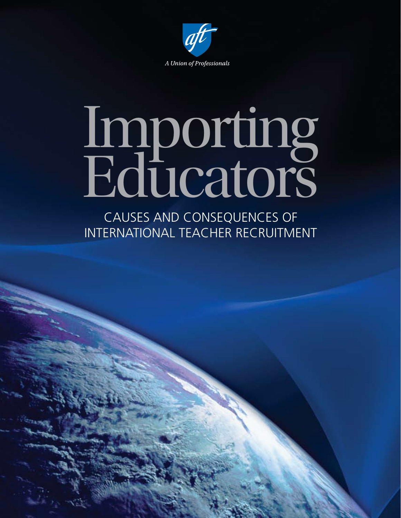

# Importing Educators

Causes and Consequences of International Teacher Recruitment

importing educators | i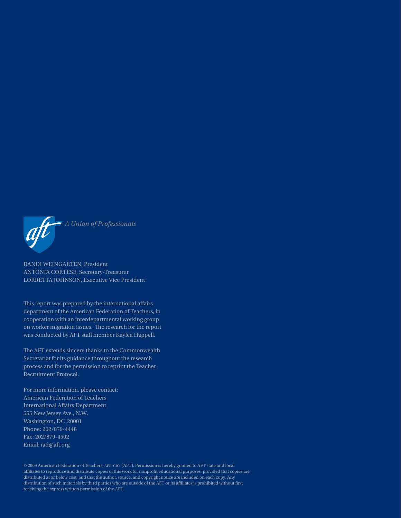

A Union of Professionals

RANDI WEINGARTEN, President ANTONIA CORTESE, Secretary-Treasurer LORRETTA JOHNSON, Executive Vice President

This report was prepared by the international affairs department of the American Federation of Teachers, in cooperation with an interdepartmental working group on worker migration issues. The research for the report was conducted by AFT staff member Kaylea Happell.

The AFT extends sincere thanks to the Commonwealth Secretariat for its guidance throughout the research process and for the permission to reprint the Teacher Recruitment Protocol.

For more information, please contact: American Federation of Teachers International Affairs Department 555 New Jersey Ave., N.W. Washington, DC 20001 Phone: 202/879-4448 Fax: 202/879-4502 Email: iad@aft.org

© 2009 American Federation of Teachers, AFL-CIO (AFT). Permission is hereby granted to AFT state and local affiliates to reproduce and distribute copies of this work for nonprofit educational purposes, provided that copies are distributed at or below cost, and that the author, source, and copyright notice are included on each copy. Any distribution of such materials by third parties who are outside of the AFT or its affiliates is prohibited without first receiving the express written permission of the AFT.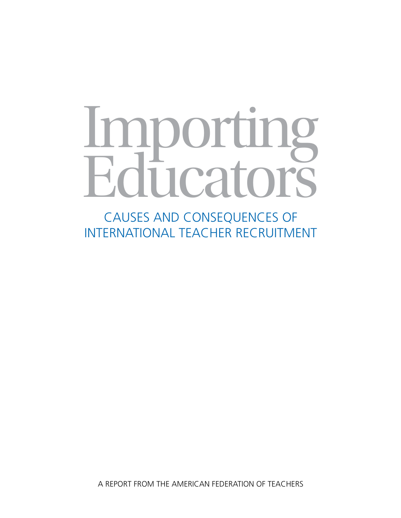# Importing Educators

Causes and Consequences of International Teacher Recruitment

A Report from the American Federation of Teachers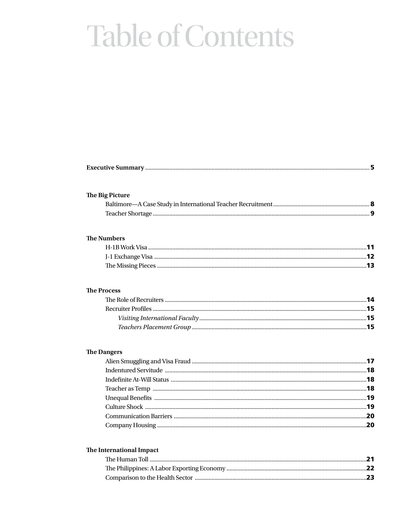### **Table of Contents**

|--|--|--|

#### The Big Picture

#### **The Numbers**

#### **The Process**

#### **The Dangers**

#### The International Impact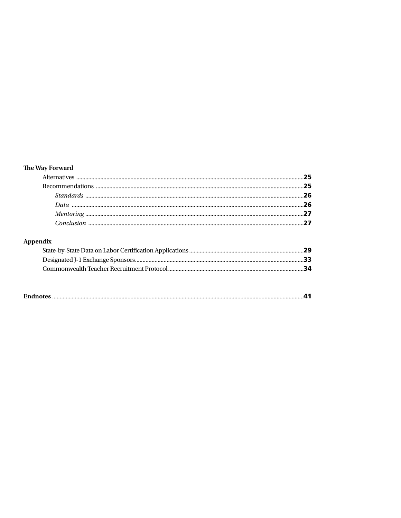#### The Way Forward

#### Appendix

|--|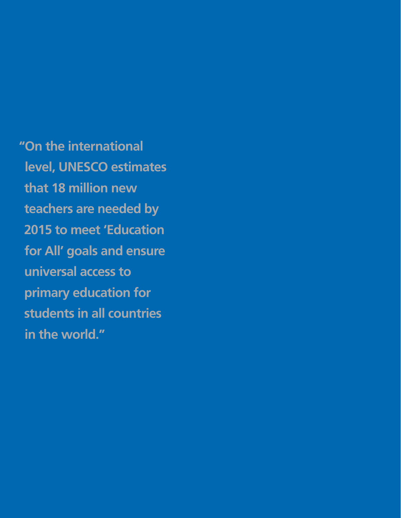**"On the international level, UNESCO estimates that 18 million new teachers are needed by 2015 to meet 'Education for All' goals and ensure universal access to primary education for students in all countries in the world."**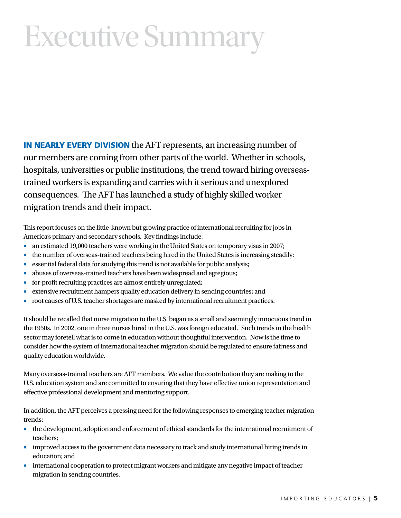### Executive Summary

IN NEARLY EVERY DIVISION the AFT represents, an increasing number of our members are coming from other parts of the world. Whether in schools, hospitals, universities or public institutions, the trend toward hiring overseastrained workers is expanding and carries with it serious and unexplored consequences. The AFT has launched a study of highly skilled worker migration trends and their impact.

This report focuses on the little-known but growing practice of international recruiting for jobs in America's primary and secondary schools. Key findings include:

- an estimated 19,000 teachers were working in the United States on temporary visas in 2007;
- the number of overseas-trained teachers being hired in the United States is increasing steadily;
- essential federal data for studying this trend is not available for public analysis;
- abuses of overseas-trained teachers have been widespread and egregious;
- for-profit recruiting practices are almost entirely unregulated;
- extensive recruitment hampers quality education delivery in sending countries; and
- root causes of U.S. teacher shortages are masked by international recruitment practices.

It should be recalled that nurse migration to the U.S. began as a small and seemingly innocuous trend in the 1950s. In 2002, one in three nurses hired in the U.S. was foreign educated.1 Such trends in the health sector may foretell what is to come in education without thoughtful intervention. Now is the time to consider how the system of international teacher migration should be regulated to ensure fairness and quality education worldwide.

Many overseas-trained teachers are AFT members. We value the contribution they are making to the U.S. education system and are committed to ensuring that they have effective union representation and effective professional development and mentoring support.

In addition, the AFT perceives a pressing need for the following responses to emerging teacher migration trends:

- the development, adoption and enforcement of ethical standards for the international recruitment of teachers;
- improved access to the government data necessary to track and study international hiring trends in education; and
- international cooperation to protect migrant workers and mitigate any negative impact of teacher migration in sending countries.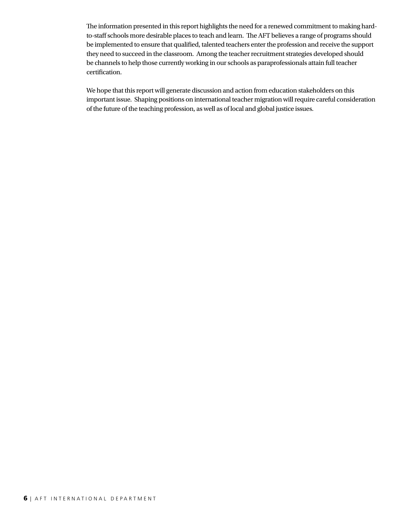The information presented in this report highlights the need for a renewed commitment to making hardto-staff schools more desirable places to teach and learn. The AFT believes a range of programs should be implemented to ensure that qualified, talented teachers enter the profession and receive the support they need to succeed in the classroom. Among the teacher recruitment strategies developed should be channels to help those currently working in our schools as paraprofessionals attain full teacher certification.

We hope that this report will generate discussion and action from education stakeholders on this important issue. Shaping positions on international teacher migration will require careful consideration of the future of the teaching profession, as well as of local and global justice issues.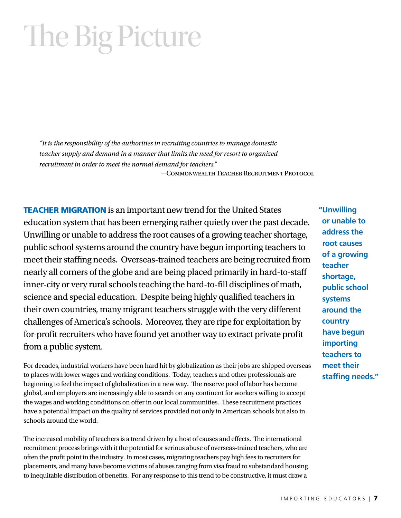# The Big Picture

*"It is the responsibility of the authorities in recruiting countries to manage domestic teacher supply and demand in a manner that limits the need for resort to organized recruitment in order to meet the normal demand for teachers." —*Commonwealth Teacher Recruitment Protocol

**TEACHER MIGRATION** is an important new trend for the United States education system that has been emerging rather quietly over the past decade. Unwilling or unable to address the root causes of a growing teacher shortage, public school systems around the country have begun importing teachers to meet their staffing needs. Overseas-trained teachers are being recruited from nearly all corners of the globe and are being placed primarily in hard-to-staff inner-city or very rural schools teaching the hard-to-fill disciplines of math, science and special education. Despite being highly qualified teachers in their own countries, many migrant teachers struggle with the very different challenges of America's schools. Moreover, they are ripe for exploitation by for-profit recruiters who have found yet another way to extract private profit from a public system.

For decades, industrial workers have been hard hit by globalization as their jobs are shipped overseas to places with lower wages and working conditions. Today, teachers and other professionals are beginning to feel the impact of globalization in a new way. The reserve pool of labor has become global, and employers are increasingly able to search on any continent for workers willing to accept the wages and working conditions on offer in our local communities. These recruitment practices have a potential impact on the quality of services provided not only in American schools but also in schools around the world.

The increased mobility of teachers is a trend driven by a host of causes and effects. The international recruitment process brings with it the potential for serious abuse of overseas-trained teachers, who are often the profit point in the industry. In most cases, migrating teachers pay high fees to recruiters for placements, and many have become victims of abuses ranging from visa fraud to substandard housing to inequitable distribution of benefits. For any response to this trend to be constructive, it must draw a

**"Unwilling or unable to address the root causes of a growing teacher shortage, public school systems around the country have begun importing teachers to meet their staffing needs."**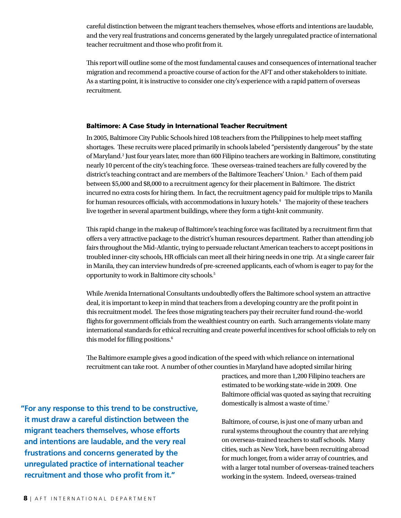careful distinction between the migrant teachers themselves, whose efforts and intentions are laudable, and the very real frustrations and concerns generated by the largely unregulated practice of international teacher recruitment and those who profit from it.

This report will outline some of the most fundamental causes and consequences of international teacher migration and recommend a proactive course of action for the AFT and other stakeholders to initiate. As a starting point, it is instructive to consider one city's experience with a rapid pattern of overseas recruitment.

#### Baltimore: A Case Study in International Teacher Recruitment

In 2005, Baltimore City Public Schools hired 108 teachers from the Philippines to help meet staffing shortages. These recruits were placed primarily in schools labeled "persistently dangerous" by the state of Maryland.2 Just four years later, more than 600 Filipino teachers are working in Baltimore, constituting nearly 10 percent of the city's teaching force. These overseas-trained teachers are fully covered by the district's teaching contract and are members of the Baltimore Teachers' Union. 3 Each of them paid between \$5,000 and \$8,000 to a recruitment agency for their placement in Baltimore. The district incurred no extra costs for hiring them. In fact, the recruitment agency paid for multiple trips to Manila for human resources officials, with accommodations in luxury hotels.4 The majority of these teachers live together in several apartment buildings, where they form a tight-knit community.

This rapid change in the makeup of Baltimore's teaching force was facilitated by a recruitment firm that offers a very attractive package to the district's human resources department. Rather than attending job fairs throughout the Mid-Atlantic, trying to persuade reluctant American teachers to accept positions in troubled inner-city schools, HR officials can meet all their hiring needs in one trip. At a single career fair in Manila, they can interview hundreds of pre-screened applicants, each of whom is eager to pay for the opportunity to work in Baltimore city schools.5

While Avenida International Consultants undoubtedly offers the Baltimore school system an attractive deal, it is important to keep in mind that teachers from a developing country are the profit point in this recruitment model. The fees those migrating teachers pay their recruiter fund round-the-world flights for government officials from the wealthiest country on earth. Such arrangements violate many international standards for ethical recruiting and create powerful incentives for school officials to rely on this model for filling positions.<sup>6</sup>

The Baltimore example gives a good indication of the speed with which reliance on international recruitment can take root. A number of other counties in Maryland have adopted similar hiring

**"For any response to this trend to be constructive, it must draw a careful distinction between the migrant teachers themselves, whose efforts and intentions are laudable, and the very real frustrations and concerns generated by the unregulated practice of international teacher recruitment and those who profit from it."**

practices, and more than 1,200 Filipino teachers are estimated to be working state-wide in 2009. One Baltimore official was quoted as saying that recruiting domestically is almost a waste of time.<sup>7</sup>

Baltimore, of course, is just one of many urban and rural systems throughout the country that are relying on overseas-trained teachers to staff schools. Many cities, such as New York, have been recruiting abroad for much longer, from a wider array of countries, and with a larger total number of overseas-trained teachers working in the system. Indeed, overseas-trained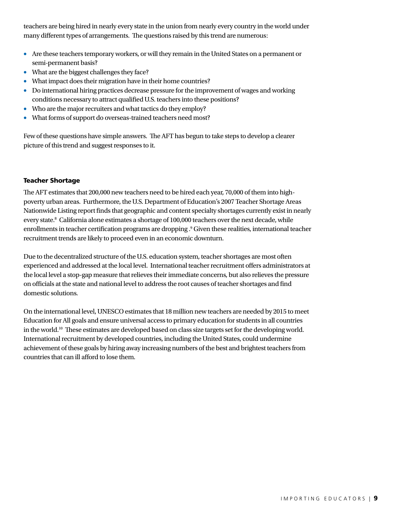teachers are being hired in nearly every state in the union from nearly every country in the world under many different types of arrangements. The questions raised by this trend are numerous:

- Are these teachers temporary workers, or will they remain in the United States on a permanent or semi-permanent basis?
- What are the biggest challenges they face?
- What impact does their migration have in their home countries?
- Do international hiring practices decrease pressure for the improvement of wages and working conditions necessary to attract qualified U.S. teachers into these positions?
- Who are the major recruiters and what tactics do they employ?
- What forms of support do overseas-trained teachers need most?

Few of these questions have simple answers. The AFT has begun to take steps to develop a clearer picture of this trend and suggest responses to it.

#### Teacher Shortage

The AFT estimates that 200,000 new teachers need to be hired each year, 70,000 of them into highpoverty urban areas. Furthermore, the U.S. Department of Education's 2007 Teacher Shortage Areas Nationwide Listing report finds that geographic and content specialty shortages currently exist in nearly every state.<sup>8</sup> California alone estimates a shortage of 100,000 teachers over the next decade, while enrollments in teacher certification programs are dropping .9 Given these realities, international teacher recruitment trends are likely to proceed even in an economic downturn.

Due to the decentralized structure of the U.S. education system, teacher shortages are most often experienced and addressed at the local level. International teacher recruitment offers administrators at the local level a stop-gap measure that relieves their immediate concerns, but also relieves the pressure on officials at the state and national level to address the root causes of teacher shortages and find domestic solutions.

On the international level, UNESCO estimates that 18 million new teachers are needed by 2015 to meet Education for All goals and ensure universal access to primary education for students in all countries in the world.<sup>10</sup> These estimates are developed based on class size targets set for the developing world. International recruitment by developed countries, including the United States, could undermine achievement of these goals by hiring away increasing numbers of the best and brightest teachers from countries that can ill afford to lose them.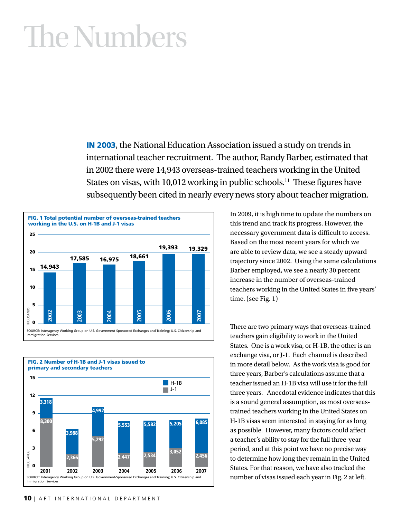## The Numbers

In 2003, the National Education Association issued a study on trends in international teacher recruitment. The author, Randy Barber, estimated that in 2002 there were 14,943 overseas-trained teachers working in the United States on visas, with 10,012 working in public schools.<sup>11</sup> These figures have subsequently been cited in nearly every news story about teacher migration.





In 2009, it is high time to update the numbers on this trend and track its progress. However, the necessary government data is difficult to access. Based on the most recent years for which we are able to review data, we see a steady upward trajectory since 2002. Using the same calculations Barber employed, we see a nearly 30 percent increase in the number of overseas-trained teachers working in the United States in five years' time. (see Fig. 1)

There are two primary ways that overseas-trained teachers gain eligibility to work in the United States. One is a work visa, or H-1B, the other is an exchange visa, or J-1. Each channel is described in more detail below. As the work visa is good for three years, Barber's calculations assume that a teacher issued an H-1B visa will use it for the full three years. Anecdotal evidence indicates that this is a sound general assumption, as most overseastrained teachers working in the United States on H-1B visas seem interested in staying for as long as possible. However, many factors could affect a teacher's ability to stay for the full three-year period, and at this point we have no precise way to determine how long they remain in the United States. For that reason, we have also tracked the number of visas issued each year in Fig. 2 at left.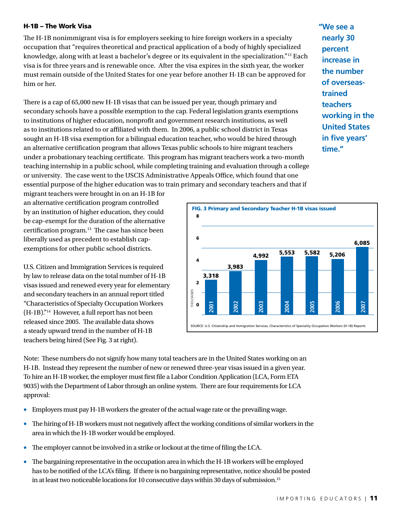#### H-1B – The Work Visa

The H-1B nonimmigrant visa is for employers seeking to hire foreign workers in a specialty occupation that "requires theoretical and practical application of a body of highly specialized knowledge, along with at least a bachelor's degree or its equivalent in the specialization."12 Each visa is for three years and is renewable once. After the visa expires in the sixth year, the worker must remain outside of the United States for one year before another H-1B can be approved for him or her.

There is a cap of 65,000 new H-1B visas that can be issued per year, though primary and secondary schools have a possible exemption to the cap. Federal legislation grants exemptions to institutions of higher education, nonprofit and government research institutions, as well as to institutions related to or affiliated with them. In 2006, a public school district in Texas sought an H-1B visa exemption for a bilingual education teacher, who would be hired through an alternative certification program that allows Texas public schools to hire migrant teachers under a probationary teaching certificate. This program has migrant teachers work a two-month teaching internship in a public school, while completing training and evaluation through a college or university. The case went to the USCIS Administrative Appeals Office, which found that one essential purpose of the higher education was to train primary and secondary teachers and that if

**"We see a nearly 30 percent increase in the number of overseastrained teachers working in the United States in five years' time."**

migrant teachers were brought in on an H-1B for an alternative certification program controlled by an institution of higher education, they could be cap-exempt for the duration of the alternative certification program.13 The case has since been liberally used as precedent to establish capexemptions for other public school districts.

U.S. Citizen and Immigration Services is required by law to release data on the total number of H-1B visas issued and renewed every year for elementary and secondary teachers in an annual report titled "Characteristics of Specialty Occupation Workers (H-1B)."14 However, a full report has not been released since 2005. The available data shows a steady upward trend in the number of H-1B teachers being hired (See Fig. 3 at right).



Note: These numbers do not signify how many total teachers are in the United States working on an H-1B. Instead they represent the number of new or renewed three-year visas issued in a given year. To hire an H-1B worker, the employer must first file a Labor Condition Application (LCA, Form ETA 9035) with the Department of Labor through an online system. There are four requirements for LCA approval:

- Employers must pay H-1B workers the greater of the actual wage rate or the prevailing wage.
- The hiring of H-1B workers must not negatively affect the working conditions of similar workers in the area in which the H-1B worker would be employed.
- The employer cannot be involved in a strike or lockout at the time of filing the LCA.
- The bargaining representative in the occupation area in which the H-1B workers will be employed has to be notified of the LCA's filing. If there is no bargaining representative, notice should be posted in at least two noticeable locations for 10 consecutive days within 30 days of submission.<sup>15</sup>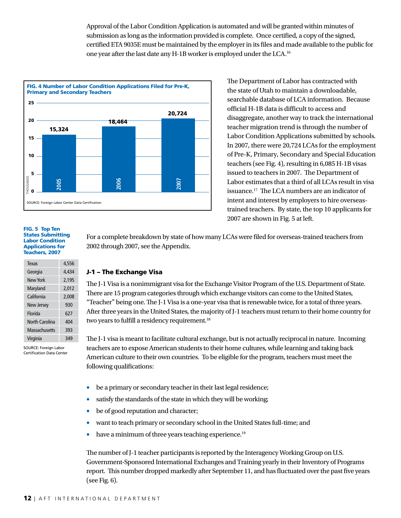Approval of the Labor Condition Application is automated and will be granted within minutes of submission as long as the information provided is complete. Once certified, a copy of the signed, certified ETA 9035E must be maintained by the employer in its files and made available to the public for one year after the last date any H-1B worker is employed under the LCA.16



FIG. 5 Top Ten States Submitting Labor Condition Applications for Teachers, 2007

| Texas                | 4.556 |
|----------------------|-------|
| Georgia              | 4,434 |
| <b>New York</b>      | 2,195 |
| Maryland             | 2,012 |
| California           | 2,008 |
| New Jersey           | 930   |
| Florida              | 627   |
| North Carolina       | 404   |
| <b>Massachusetts</b> | 393   |
| Virginia             | 349   |

Source: Foreign Labor Certification Data Center For a complete breakdown by state of how many LCAs were filed for overseas-trained teachers from 2002 through 2007, see the Appendix.

#### J-1 – The Exchange Visa

The J-1 Visa is a nonimmigrant visa for the Exchange Visitor Program of the U.S. Department of State. There are 15 program categories through which exchange visitors can come to the United States, "Teacher" being one. The J-1 Visa is a one-year visa that is renewable twice, for a total of three years. After three years in the United States, the majority of J-1 teachers must return to their home country for two years to fulfill a residency requirement.<sup>18</sup>

The J-1 visa is meant to facilitate cultural exchange, but is not actually reciprocal in nature. Incoming teachers are to expose American students to their home cultures, while learning and taking back American culture to their own countries. To be eligible for the program, teachers must meet the following qualifications:

- be a primary or secondary teacher in their last legal residence;
- satisfy the standards of the state in which they will be working;
- be of good reputation and character;
- want to teach primary or secondary school in the United States full-time; and
- have a minimum of three years teaching experience.<sup>19</sup>

The number of J-1 teacher participants is reported by the Interagency Working Group on U.S. Government-Sponsored International Exchanges and Training yearly in their Inventory of Programs report. This number dropped markedly after September 11, and has fluctuated over the past five years (see Fig. 6).

The Department of Labor has contracted with the state of Utah to maintain a downloadable, searchable database of LCA information. Because official H-1B data is difficult to access and disaggregate, another way to track the international teacher migration trend is through the number of Labor Condition Applications submitted by schools. In 2007, there were 20,724 LCAs for the employment of Pre-K, Primary, Secondary and Special Education teachers (see Fig. 4), resulting in 6,085 H-1B visas issued to teachers in 2007. The Department of Labor estimates that a third of all LCAs result in visa issuance.17 The LCA numbers are an indicator of intent and interest by employers to hire overseastrained teachers. By state, the top 10 applicants for 2007 are shown in Fig. 5 at left.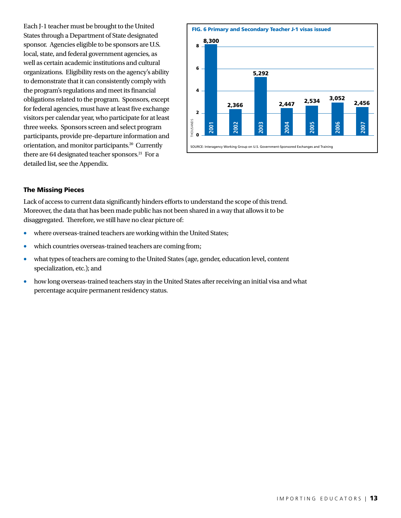Each J-1 teacher must be brought to the United States through a Department of State designated sponsor. Agencies eligible to be sponsors are U.S. local, state, and federal government agencies, as well as certain academic institutions and cultural organizations. Eligibility rests on the agency's ability to demonstrate that it can consistently comply with the program's regulations and meet its financial obligations related to the program. Sponsors, except for federal agencies, must have at least five exchange visitors per calendar year, who participate for at least three weeks. Sponsors screen and select program participants, provide pre-departure information and orientation, and monitor participants.<sup>20</sup> Currently there are 64 designated teacher sponsors.<sup>21</sup> For a detailed list, see the Appendix.



#### The Missing Pieces

Lack of access to current data significantly hinders efforts to understand the scope of this trend. Moreover, the data that has been made public has not been shared in a way that allows it to be disaggregated. Therefore, we still have no clear picture of:

- where overseas-trained teachers are working within the United States;
- which countries overseas-trained teachers are coming from;
- what types of teachers are coming to the United States (age, gender, education level, content specialization, etc.); and
- how long overseas-trained teachers stay in the United States after receiving an initial visa and what percentage acquire permanent residency status.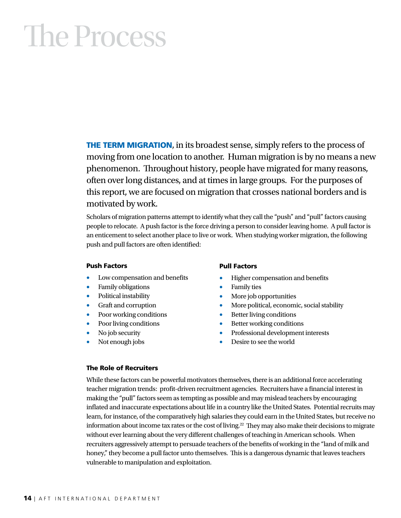### The Process

**THE TERM MIGRATION,** in its broadest sense, simply refers to the process of moving from one location to another. Human migration is by no means a new phenomenon. Throughout history, people have migrated for many reasons, often over long distances, and at times in large groups. For the purposes of this report, we are focused on migration that crosses national borders and is motivated by work.

Scholars of migration patterns attempt to identify what they call the "push" and "pull" factors causing people to relocate. A push factor is the force driving a person to consider leaving home. A pull factor is an enticement to select another place to live or work. When studying worker migration, the following push and pull factors are often identified:

#### Push Factors

- Low compensation and benefits
- Family obligations
- Political instability
- Graft and corruption
- Poor working conditions
- Poor living conditions
- No job security
- Not enough jobs

#### Pull Factors

- Higher compensation and benefits
- Family ties
- More job opportunities
- More political, economic, social stability
- Better living conditions
- Better working conditions
- Professional development interests
- Desire to see the world

#### The Role of Recruiters

While these factors can be powerful motivators themselves, there is an additional force accelerating teacher migration trends: profit-driven recruitment agencies. Recruiters have a financial interest in making the "pull" factors seem as tempting as possible and may mislead teachers by encouraging inflated and inaccurate expectations about life in a country like the United States. Potential recruits may learn, for instance, of the comparatively high salaries they could earn in the United States, but receive no information about income tax rates or the cost of living.<sup>22</sup> They may also make their decisions to migrate without ever learning about the very different challenges of teaching in American schools. When recruiters aggressively attempt to persuade teachers of the benefits of working in the "land of milk and honey," they become a pull factor unto themselves. This is a dangerous dynamic that leaves teachers vulnerable to manipulation and exploitation.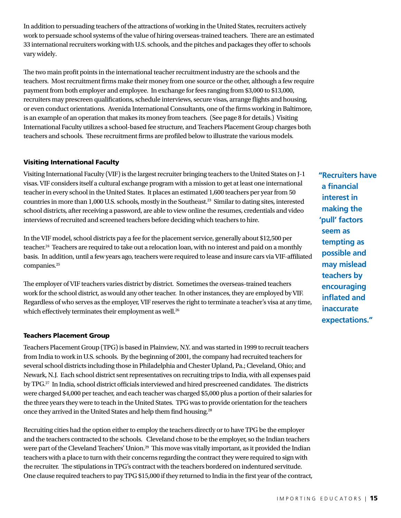In addition to persuading teachers of the attractions of working in the United States, recruiters actively work to persuade school systems of the value of hiring overseas-trained teachers. There are an estimated 33 international recruiters working with U.S. schools, and the pitches and packages they offer to schools vary widely.

The two main profit points in the international teacher recruitment industry are the schools and the teachers. Most recruitment firms make their money from one source or the other, although a few require payment from both employer and employee. In exchange for fees ranging from \$3,000 to \$13,000, recruiters may prescreen qualifications, schedule interviews, secure visas, arrange flights and housing, or even conduct orientations. Avenida International Consultants, one of the firms working in Baltimore, is an example of an operation that makes its money from teachers. (See page 8 for details.) Visiting International Faculty utilizes a school-based fee structure, and Teachers Placement Group charges both teachers and schools. These recruitment firms are profiled below to illustrate the various models.

#### Visiting International Faculty

Visiting International Faculty (VIF) is the largest recruiter bringing teachers to the United States on J-1 visas. VIF considers itself a cultural exchange program with a mission to get at least one international teacher in every school in the United States. It places an estimated 1,600 teachers per year from 50 countries in more than 1,000 U.S. schools, mostly in the Southeast.23 Similar to dating sites, interested school districts, after receiving a password, are able to view online the resumes, credentials and video interviews of recruited and screened teachers before deciding which teachers to hire.

In the VIF model, school districts pay a fee for the placement service, generally about \$12,500 per teacher.<sup>24</sup> Teachers are required to take out a relocation loan, with no interest and paid on a monthly basis. In addition, until a few years ago, teachers were required to lease and insure cars via VIF-affiliated companies.25

The employer of VIF teachers varies district by district. Sometimes the overseas-trained teachers work for the school district, as would any other teacher. In other instances, they are employed by VIF. Regardless of who serves as the employer, VIF reserves the right to terminate a teacher's visa at any time, which effectively terminates their employment as well.<sup>26</sup>

#### Teachers Placement Group

Teachers Placement Group (TPG) is based in Plainview, N.Y. and was started in 1999 to recruit teachers from India to work in U.S. schools. By the beginning of 2001, the company had recruited teachers for several school districts including those in Philadelphia and Chester Upland, Pa.; Cleveland, Ohio; and Newark, N.J. Each school district sent representatives on recruiting trips to India, with all expenses paid by TPG.27 In India, school district officials interviewed and hired prescreened candidates. The districts were charged \$4,000 per teacher, and each teacher was charged \$5,000 plus a portion of their salaries for the three years they were to teach in the United States. TPG was to provide orientation for the teachers once they arrived in the United States and help them find housing.<sup>28</sup>

Recruiting cities had the option either to employ the teachers directly or to have TPG be the employer and the teachers contracted to the schools. Cleveland chose to be the employer, so the Indian teachers were part of the Cleveland Teachers' Union.<sup>29</sup> This move was vitally important, as it provided the Indian teachers with a place to turn with their concerns regarding the contract they were required to sign with the recruiter. The stipulations in TPG's contract with the teachers bordered on indentured servitude. One clause required teachers to pay TPG \$15,000 if they returned to India in the first year of the contract,

**"Recruiters have a financial interest in making the 'pull' factors seem as tempting as possible and may mislead teachers by encouraging inflated and inaccurate expectations."**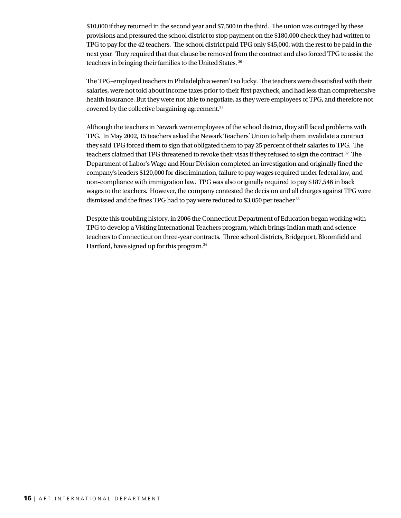\$10,000 if they returned in the second year and \$7,500 in the third. The union was outraged by these provisions and pressured the school district to stop payment on the \$180,000 check they had written to TPG to pay for the 42 teachers. The school district paid TPG only \$45,000, with the rest to be paid in the next year. They required that that clause be removed from the contract and also forced TPG to assist the teachers in bringing their families to the United States. 30

The TPG-employed teachers in Philadelphia weren't so lucky. The teachers were dissatisfied with their salaries, were not told about income taxes prior to their first paycheck, and had less than comprehensive health insurance. But they were not able to negotiate, as they were employees of TPG, and therefore not covered by the collective bargaining agreement.<sup>31</sup>

Although the teachers in Newark were employees of the school district, they still faced problems with TPG. In May 2002, 15 teachers asked the Newark Teachers' Union to help them invalidate a contract they said TPG forced them to sign that obligated them to pay 25 percent of their salaries to TPG. The teachers claimed that TPG threatened to revoke their visas if they refused to sign the contract.<sup>32</sup> The Department of Labor's Wage and Hour Division completed an investigation and originally fined the company's leaders \$120,000 for discrimination, failure to pay wages required under federal law, and non-compliance with immigration law. TPG was also originally required to pay \$187,546 in back wages to the teachers. However, the company contested the decision and all charges against TPG were dismissed and the fines TPG had to pay were reduced to \$3,050 per teacher.<sup>33</sup>

Despite this troubling history, in 2006 the Connecticut Department of Education began working with TPG to develop a Visiting International Teachers program, which brings Indian math and science teachers to Connecticut on three-year contracts. Three school districts, Bridgeport, Bloomfield and Hartford, have signed up for this program.34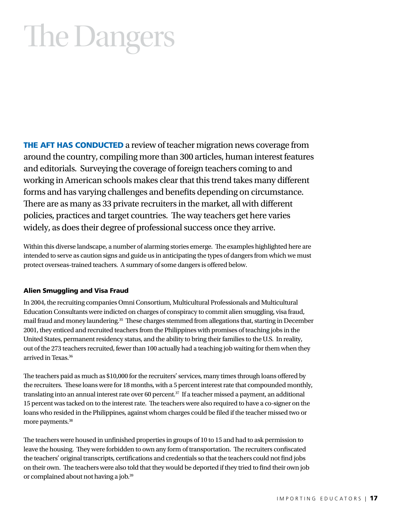# The Dangers

THE AFT HAS CONDUCTED a review of teacher migration news coverage from around the country, compiling more than 300 articles, human interest features and editorials. Surveying the coverage of foreign teachers coming to and working in American schools makes clear that this trend takes many different forms and has varying challenges and benefits depending on circumstance. There are as many as 33 private recruiters in the market, all with different policies, practices and target countries. The way teachers get here varies widely, as does their degree of professional success once they arrive.

Within this diverse landscape, a number of alarming stories emerge. The examples highlighted here are intended to serve as caution signs and guide us in anticipating the types of dangers from which we must protect overseas-trained teachers. A summary of some dangers is offered below.

#### Alien Smuggling and Visa Fraud

In 2004, the recruiting companies Omni Consortium, Multicultural Professionals and Multicultural Education Consultants were indicted on charges of conspiracy to commit alien smuggling, visa fraud, mail fraud and money laundering.35 These charges stemmed from allegations that, starting in December 2001, they enticed and recruited teachers from the Philippines with promises of teaching jobs in the United States, permanent residency status, and the ability to bring their families to the U.S. In reality, out of the 273 teachers recruited, fewer than 100 actually had a teaching job waiting for them when they arrived in Texas.36

The teachers paid as much as \$10,000 for the recruiters' services, many times through loans offered by the recruiters. These loans were for 18 months, with a 5 percent interest rate that compounded monthly, translating into an annual interest rate over 60 percent.<sup>37</sup> If a teacher missed a payment, an additional 15 percent was tacked on to the interest rate. The teachers were also required to have a co-signer on the loans who resided in the Philippines, against whom charges could be filed if the teacher missed two or more payments.<sup>38</sup>

The teachers were housed in unfinished properties in groups of 10 to 15 and had to ask permission to leave the housing. They were forbidden to own any form of transportation. The recruiters confiscated the teachers' original transcripts, certifications and credentials so that the teachers could not find jobs on their own. The teachers were also told that they would be deported if they tried to find their own job or complained about not having a job.39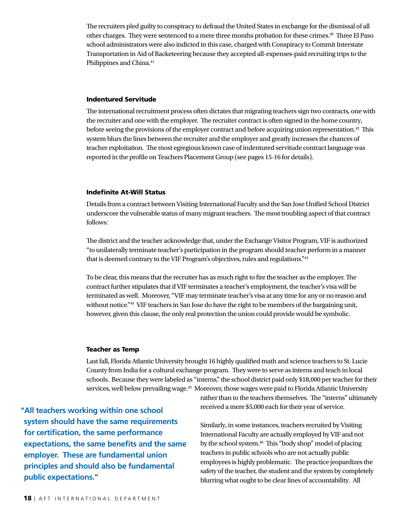The recruiters pled guilty to conspiracy to defraud the United States in exchange for the dismissal of all other charges. They were sentenced to a mere three months probation for these crimes.<sup>40</sup> Three El Paso school administrators were also indicted in this case, charged with Conspiracy to Commit Interstate Transportation in Aid of Racketeering because they accepted all-expenses-paid recruiting trips to the Philippines and China.<sup>41</sup>

#### Indentured Servitude

The international recruitment process often dictates that migrating teachers sign two contracts, one with the recruiter and one with the employer. The recruiter contract is often signed in the home country, before seeing the provisions of the employer contract and before acquiring union representation.<sup>42</sup> This system blurs the lines between the recruiter and the employer and greatly increases the chances of teacher exploitation. The most egregious known case of indentured servitude contract language was reported in the profile on Teachers Placement Group (see pages 15-16 for details).

#### Indefinite At-Will Status

Details from a contract between Visiting International Faculty and the San Jose Unified School District underscore the vulnerable status of many migrant teachers. The most troubling aspect of that contract follows:

The district and the teacher acknowledge that, under the Exchange Visitor Program, VIF is authorized "to unilaterally terminate teacher's participation in the program should teacher perform in a manner that is deemed contrary to the VIF Program's objectives, rules and regulations."<sup>43</sup>

To be clear, this means that the recruiter has as much right to fire the teacher as the employer. The contract further stipulates that if VIF terminates a teacher's employment, the teacher's visa will be terminated as well. Moreover, "VIF may terminate teacher's visa at any time for any or no reason and without notice."<sup>44</sup> VIF teachers in San Jose do have the right to be members of the bargaining unit, however, given this clause, the only real protection the union could provide would be symbolic.

#### Teacher as Temp

Last fall, Florida Atlantic University brought 16 highly qualified math and science teachers to St. Lucie County from India for a cultural exchange program. They were to serve as interns and teach in local schools. Because they were labeled as "interns," the school district paid only \$18,000 per teacher for their services, well below prevailing wage.<sup>45</sup> Moreover, those wages were paid to Florida Atlantic University

**"All teachers working within one school system should have the same requirements for certification, the same performance expectations, the same benefits and the same employer. These are fundamental union principles and should also be fundamental public expectations."**

rather than to the teachers themselves. The "interns" ultimately received a mere \$5,000 each for their year of service.

Similarly, in some instances, teachers recruited by Visiting International Faculty are actually employed by VIF and not by the school system.<sup>46</sup> This "body shop" model of placing teachers in public schools who are not actually public employees is highly problematic. The practice jeopardizes the safety of the teacher, the student and the system by completely blurring what ought to be clear lines of accountability. All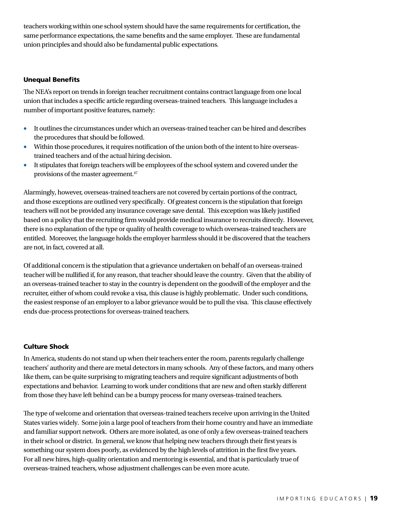teachers working within one school system should have the same requirements for certification, the same performance expectations, the same benefits and the same employer. These are fundamental union principles and should also be fundamental public expectations.

#### Unequal Benefits

The NEA's report on trends in foreign teacher recruitment contains contract language from one local union that includes a specific article regarding overseas-trained teachers. This language includes a number of important positive features, namely:

- It outlines the circumstances under which an overseas-trained teacher can be hired and describes the procedures that should be followed.
- Within those procedures, it requires notification of the union both of the intent to hire overseastrained teachers and of the actual hiring decision.
- It stipulates that foreign teachers will be employees of the school system and covered under the provisions of the master agreement.<sup>47</sup>

Alarmingly, however, overseas-trained teachers are not covered by certain portions of the contract, and those exceptions are outlined very specifically. Of greatest concern is the stipulation that foreign teachers will not be provided any insurance coverage save dental. This exception was likely justified based on a policy that the recruiting firm would provide medical insurance to recruits directly. However, there is no explanation of the type or quality of health coverage to which overseas-trained teachers are entitled. Moreover, the language holds the employer harmless should it be discovered that the teachers are not, in fact, covered at all.

Of additional concern is the stipulation that a grievance undertaken on behalf of an overseas-trained teacher will be nullified if, for any reason, that teacher should leave the country. Given that the ability of an overseas-trained teacher to stay in the country is dependent on the goodwill of the employer and the recruiter, either of whom could revoke a visa, this clause is highly problematic. Under such conditions, the easiest response of an employer to a labor grievance would be to pull the visa. This clause effectively ends due-process protections for overseas-trained teachers.

#### Culture Shock

In America, students do not stand up when their teachers enter the room, parents regularly challenge teachers' authority and there are metal detectors in many schools. Any of these factors, and many others like them, can be quite surprising to migrating teachers and require significant adjustments of both expectations and behavior. Learning to work under conditions that are new and often starkly different from those they have left behind can be a bumpy process for many overseas-trained teachers.

The type of welcome and orientation that overseas-trained teachers receive upon arriving in the United States varies widely. Some join a large pool of teachers from their home country and have an immediate and familiar support network. Others are more isolated, as one of only a few overseas-trained teachers in their school or district. In general, we know that helping new teachers through their first years is something our system does poorly, as evidenced by the high levels of attrition in the first five years. For all new hires, high-quality orientation and mentoring is essential, and that is particularly true of overseas-trained teachers, whose adjustment challenges can be even more acute.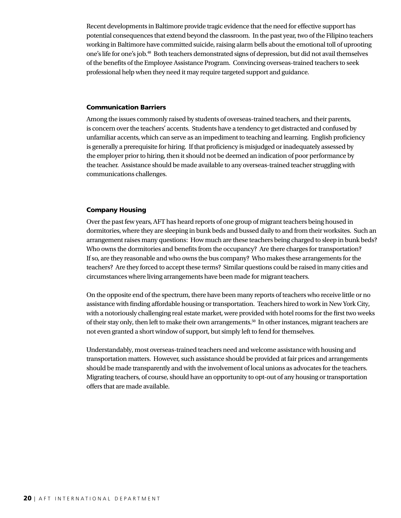Recent developments in Baltimore provide tragic evidence that the need for effective support has potential consequences that extend beyond the classroom. In the past year, two of the Filipino teachers working in Baltimore have committed suicide, raising alarm bells about the emotional toll of uprooting one's life for one's job.48 Both teachers demonstrated signs of depression, but did not avail themselves of the benefits of the Employee Assistance Program. Convincing overseas-trained teachers to seek professional help when they need it may require targeted support and guidance.

#### Communication Barriers

Among the issues commonly raised by students of overseas-trained teachers, and their parents, is concern over the teachers' accents. Students have a tendency to get distracted and confused by unfamiliar accents, which can serve as an impediment to teaching and learning. English proficiency is generally a prerequisite for hiring. If that proficiency is misjudged or inadequately assessed by the employer prior to hiring, then it should not be deemed an indication of poor performance by the teacher. Assistance should be made available to any overseas-trained teacher struggling with communications challenges.

#### Company Housing

Over the past few years, AFT has heard reports of one group of migrant teachers being housed in dormitories, where they are sleeping in bunk beds and bussed daily to and from their worksites. Such an arrangement raises many questions: How much are these teachers being charged to sleep in bunk beds? Who owns the dormitories and benefits from the occupancy? Are there charges for transportation? If so, are they reasonable and who owns the bus company? Who makes these arrangements for the teachers? Are they forced to accept these terms? Similar questions could be raised in many cities and circumstances where living arrangements have been made for migrant teachers.

On the opposite end of the spectrum, there have been many reports of teachers who receive little or no assistance with finding affordable housing or transportation. Teachers hired to work in New York City, with a notoriously challenging real estate market, were provided with hotel rooms for the first two weeks of their stay only, then left to make their own arrangements.50 In other instances, migrant teachers are not even granted a short window of support, but simply left to fend for themselves.

Understandably, most overseas-trained teachers need and welcome assistance with housing and transportation matters. However, such assistance should be provided at fair prices and arrangements should be made transparently and with the involvement of local unions as advocates for the teachers. Migrating teachers, of course, should have an opportunity to opt-out of any housing or transportation offers that are made available.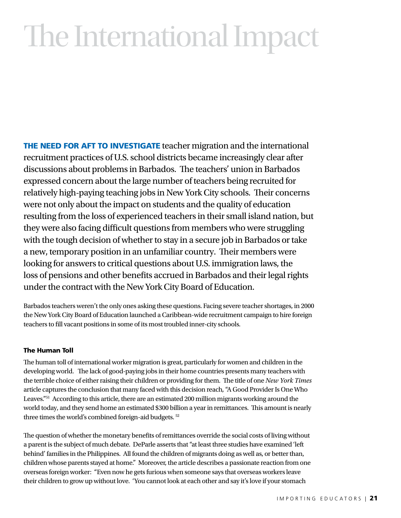# The International Impact

THE NEED FOR AFT TO INVESTIGATE teacher migration and the international recruitment practices of U.S. school districts became increasingly clear after discussions about problems in Barbados. The teachers' union in Barbados expressed concern about the large number of teachers being recruited for relatively high-paying teaching jobs in New York City schools. Their concerns were not only about the impact on students and the quality of education resulting from the loss of experienced teachers in their small island nation, but they were also facing difficult questions from members who were struggling with the tough decision of whether to stay in a secure job in Barbados or take a new, temporary position in an unfamiliar country. Their members were looking for answers to critical questions about U.S. immigration laws, the loss of pensions and other benefits accrued in Barbados and their legal rights under the contract with the New York City Board of Education.

Barbados teachers weren't the only ones asking these questions. Facing severe teacher shortages, in 2000 the New York City Board of Education launched a Caribbean-wide recruitment campaign to hire foreign teachers to fill vacant positions in some of its most troubled inner-city schools.

#### The Human Toll

The human toll of international worker migration is great, particularly for women and children in the developing world. The lack of good-paying jobs in their home countries presents many teachers with the terrible choice of either raising their children or providing for them. The title of one *New York Times* article captures the conclusion that many faced with this decision reach, "A Good Provider Is One Who Leaves."51 According to this article, there are an estimated 200 million migrants working around the world today, and they send home an estimated \$300 billion a year in remittances. This amount is nearly three times the world's combined foreign-aid budgets. 52

The question of whether the monetary benefits of remittances override the social costs of living without a parent is the subject of much debate. DeParle asserts that "at least three studies have examined 'left behind' families in the Philippines. All found the children of migrants doing as well as, or better than, children whose parents stayed at home." Moreover, the article describes a passionate reaction from one overseas foreign worker: "Even now he gets furious when someone says that overseas workers leave their children to grow up without love. 'You cannot look at each other and say it's love if your stomach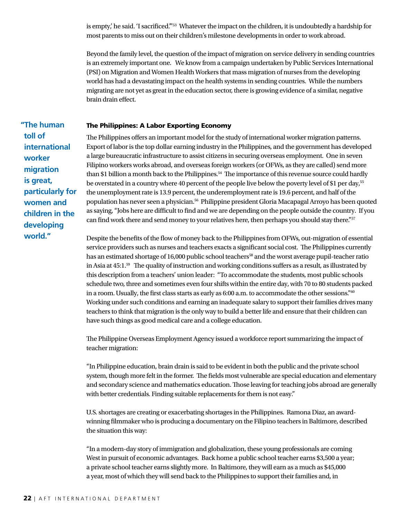is empty,' he said. 'I sacrificed.'"53 Whatever the impact on the children, it is undoubtedly a hardship for most parents to miss out on their children's milestone developments in order to work abroad.

Beyond the family level, the question of the impact of migration on service delivery in sending countries is an extremely important one. We know from a campaign undertaken by Public Services International (PSI) on Migration and Women Health Workers that mass migration of nurses from the developing world has had a devastating impact on the health systems in sending countries. While the numbers migrating are not yet as great in the education sector, there is growing evidence of a similar, negative brain drain effect.

#### The Philippines: A Labor Exporting Economy

**"The human toll of international worker migration is great, particularly for women and children in the developing world."**

The Philippines offers an important model for the study of international worker migration patterns. Export of labor is the top dollar earning industry in the Philippines, and the government has developed a large bureaucratic infrastructure to assist citizens in securing overseas employment. One in seven Filipino workers works abroad, and overseas foreign workers (or OFWs, as they are called) send more than \$1 billion a month back to the Philippines.54 The importance of this revenue source could hardly be overstated in a country where 40 percent of the people live below the poverty level of \$1 per day,<sup>55</sup> the unemployment rate is 13.9 percent, the underemployment rate is 19.6 percent, and half of the population has never seen a physician.56 Philippine president Gloria Macapagal Arroyo has been quoted as saying, "Jobs here are difficult to find and we are depending on the people outside the country. If you can find work there and send money to your relatives here, then perhaps you should stay there."<sup>57</sup>

Despite the benefits of the flow of money back to the Philippines from OFWs, out-migration of essential service providers such as nurses and teachers exacts a significant social cost. The Philippines currently has an estimated shortage of 16,000 public school teachers<sup>58</sup> and the worst average pupil-teacher ratio in Asia at  $45:1.^{59}$  The quality of instruction and working conditions suffers as a result, as illustrated by this description from a teachers' union leader: "To accommodate the students, most public schools schedule two, three and sometimes even four shifts within the entire day, with 70 to 80 students packed in a room. Usually, the first class starts as early as 6:00 a.m. to accommodate the other sessions."<sup>60</sup> Working under such conditions and earning an inadequate salary to support their families drives many teachers to think that migration is the only way to build a better life and ensure that their children can have such things as good medical care and a college education.

The Philippine Overseas Employment Agency issued a workforce report summarizing the impact of teacher migration:

"In Philippine education, brain drain is said to be evident in both the public and the private school system, though more felt in the former. The fields most vulnerable are special education and elementary and secondary science and mathematics education. Those leaving for teaching jobs abroad are generally with better credentials. Finding suitable replacements for them is not easy."

U.S. shortages are creating or exacerbating shortages in the Philippines. Ramona Diaz, an awardwinning filmmaker who is producing a documentary on the Filipino teachers in Baltimore, described the situation this way:

"In a modern-day story of immigration and globalization, these young professionals are coming West in pursuit of economic advantages. Back home a public school teacher earns \$3,500 a year; a private school teacher earns slightly more. In Baltimore, they will earn as a much as \$45,000 a year, most of which they will send back to the Philippines to support their families and, in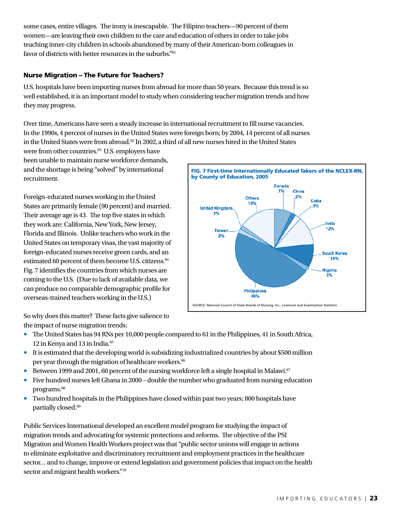some cases, entire villages. The irony is inescapable. The Filipino teachers—90 percent of them women—are leaving their own children to the care and education of others in order to take jobs teaching inner-city children in schools abandoned by many of their American-born colleagues in favor of districts with better resources in the suburbs."<sup>61</sup>

#### Nurse Migration – The Future for Teachers?

U.S. hospitals have been importing nurses from abroad for more than 50 years. Because this trend is so well established, it is an important model to study when considering teacher migration trends and how they may progress.

Over time, Americans have seen a steady increase in international recruitment to fill nurse vacancies. In the 1990s, 4 percent of nurses in the United States were foreign born; by 2004, 14 percent of all nurses in the United States were from abroad.<sup>62</sup> In 2002, a third of all new nurses hired in the United States

were from other countries.<sup>63</sup> U.S. employers have been unable to maintain nurse workforce demands, and the shortage is being "solved" by international recruitment.

Foreign-educated nurses working in the United States are primarily female (90 percent) and married. Their average age is 43. The top five states in which they work are: California, New York, New Jersey, Florida and Illinois. Unlike teachers who work in the United States on temporary visas, the vast majority of foreign-educated nurses receive green cards, and an estimated 60 percent of them become U.S. citizens.<sup>64</sup> Fig. 7 identifies the countries from which nurses are coming to the U.S. (Due to lack of available data, we can produce no comparable demographic profile for overseas-trained teachers working in the U.S.)



So why does this matter? These facts give salience to the impact of nurse migration trends:

- The United States has 94 RNs per 10,000 people compared to 61 in the Philippines, 41 in South Africa, 12 in Kenya and 13 in India.<sup>65</sup>
- It is estimated that the developing world is subsidizing industrialized countries by about \$500 million per year through the migration of healthcare workers.<sup>66</sup>
- Between 1999 and 2001, 60 percent of the nursing workforce left a single hospital in Malawi.<sup>67</sup>
- Five hundred nurses left Ghana in 2000 double the number who graduated from nursing education programs.<sup>68</sup>
- Two hundred hospitals in the Philippines have closed within past two years; 800 hospitals have partially closed.69

Public Services International developed an excellent model program for studying the impact of migration trends and advocating for systemic protections and reforms. The objective of the PSI Migration and Women Health Workers project was that "public sector unions will engage in actions to eliminate exploitative and discriminatory recruitment and employment practices in the healthcare sector… and to change, improve or extend legislation and government policies that impact on the health sector and migrant health workers."70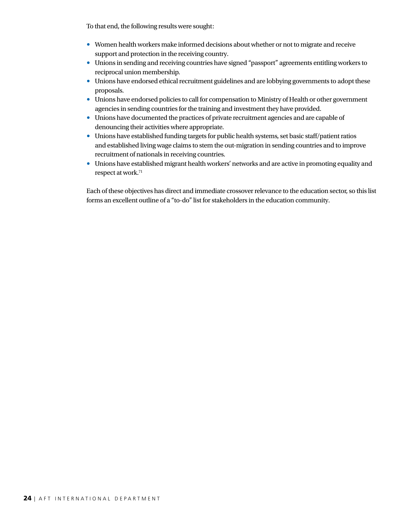To that end, the following results were sought:

- Women health workers make informed decisions about whether or not to migrate and receive support and protection in the receiving country.
- Unions in sending and receiving countries have signed "passport" agreements entitling workers to reciprocal union membership.
- Unions have endorsed ethical recruitment guidelines and are lobbying governments to adopt these proposals.
- Unions have endorsed policies to call for compensation to Ministry of Health or other government agencies in sending countries for the training and investment they have provided.
- Unions have documented the practices of private recruitment agencies and are capable of denouncing their activities where appropriate.
- Unions have established funding targets for public health systems, set basic staff/patient ratios and established living wage claims to stem the out-migration in sending countries and to improve recruitment of nationals in receiving countries.
- Unions have established migrant health workers' networks and are active in promoting equality and respect at work.<sup>71</sup>

Each of these objectives has direct and immediate crossover relevance to the education sector, so this list forms an excellent outline of a "to-do" list for stakeholders in the education community.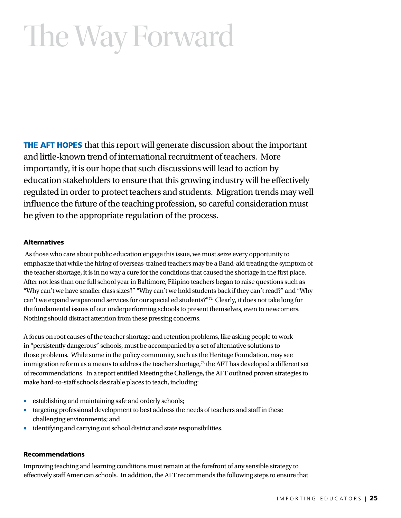# The Way Forward

THE AFT HOPES that this report will generate discussion about the important and little-known trend of international recruitment of teachers. More importantly, it is our hope that such discussions will lead to action by education stakeholders to ensure that this growing industry will be effectively regulated in order to protect teachers and students. Migration trends may well influence the future of the teaching profession, so careful consideration must be given to the appropriate regulation of the process.

#### **Alternatives**

As those who care about public education engage this issue, we must seize every opportunity to emphasize that while the hiring of overseas-trained teachers may be a Band-aid treating the symptom of the teacher shortage, it is in no way a cure for the conditions that caused the shortage in the first place. After not less than one full school year in Baltimore, Filipino teachers began to raise questions such as "Why can't we have smaller class sizes?" "Why can't we hold students back if they can't read?" and "Why can't we expand wraparound services for our special ed students?"72 Clearly, it does not take long for the fundamental issues of our underperforming schools to present themselves, even to newcomers. Nothing should distract attention from these pressing concerns.

A focus on root causes of the teacher shortage and retention problems, like asking people to work in "persistently dangerous" schools, must be accompanied by a set of alternative solutions to those problems. While some in the policy community, such as the Heritage Foundation, may see immigration reform as a means to address the teacher shortage, $73$  the AFT has developed a different set of recommendations. In a report entitled Meeting the Challenge, the AFT outlined proven strategies to make hard-to-staff schools desirable places to teach, including:

- establishing and maintaining safe and orderly schools;
- targeting professional development to best address the needs of teachers and staff in these challenging environments; and
- identifying and carrying out school district and state responsibilities.

#### Recommendations

Improving teaching and learning conditions must remain at the forefront of any sensible strategy to effectively staff American schools. In addition, the AFT recommends the following steps to ensure that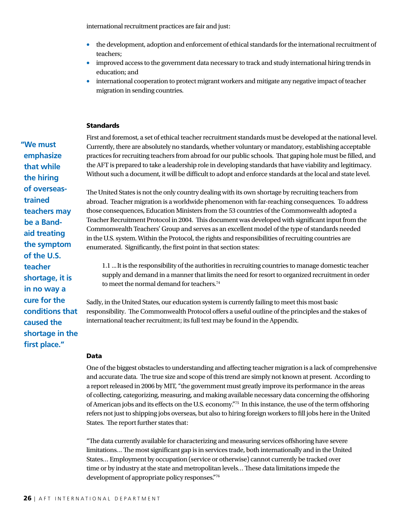international recruitment practices are fair and just:

- the development, adoption and enforcement of ethical standards for the international recruitment of teachers;
- improved access to the government data necessary to track and study international hiring trends in education; and
- international cooperation to protect migrant workers and mitigate any negative impact of teacher migration in sending countries.

#### **Standards**

First and foremost, a set of ethical teacher recruitment standards must be developed at the national level. Currently, there are absolutely no standards, whether voluntary or mandatory, establishing acceptable practices for recruiting teachers from abroad for our public schools. That gaping hole must be filled, and the AFT is prepared to take a leadership role in developing standards that have viability and legitimacy. Without such a document, it will be difficult to adopt and enforce standards at the local and state level.

The United States is not the only country dealing with its own shortage by recruiting teachers from abroad. Teacher migration is a worldwide phenomenon with far-reaching consequences. To address those consequences, Education Ministers from the 53 countries of the Commonwealth adopted a Teacher Recruitment Protocol in 2004. This document was developed with significant input from the Commonwealth Teachers' Group and serves as an excellent model of the type of standards needed in the U.S. system. Within the Protocol, the rights and responsibilities of recruiting countries are enumerated. Significantly, the first point in that section states:

1.1 ...It is the responsibility of the authorities in recruiting countries to manage domestic teacher supply and demand in a manner that limits the need for resort to organized recruitment in order to meet the normal demand for teachers.<sup>74</sup>

Sadly, in the United States, our education system is currently failing to meet this most basic responsibility. The Commonwealth Protocol offers a useful outline of the principles and the stakes of international teacher recruitment; its full text may be found in the Appendix.

#### Data

One of the biggest obstacles to understanding and affecting teacher migration is a lack of comprehensive and accurate data. The true size and scope of this trend are simply not known at present. According to a report released in 2006 by MIT, "the government must greatly improve its performance in the areas of collecting, categorizing, measuring, and making available necessary data concerning the offshoring of American jobs and its effects on the U.S. economy."75 In this instance, the use of the term offshoring refers not just to shipping jobs overseas, but also to hiring foreign workers to fill jobs here in the United States. The report further states that:

"The data currently available for characterizing and measuring services offshoring have severe limitations… The most significant gap is in services trade, both internationally and in the United States… Employment by occupation (service or otherwise) cannot currently be tracked over time or by industry at the state and metropolitan levels… These data limitations impede the development of appropriate policy responses."76

**"We must emphasize that while the hiring of overseastrained teachers may be a Bandaid treating the symptom of the U.S. teacher shortage, it is in no way a cure for the conditions that caused the shortage in the first place."**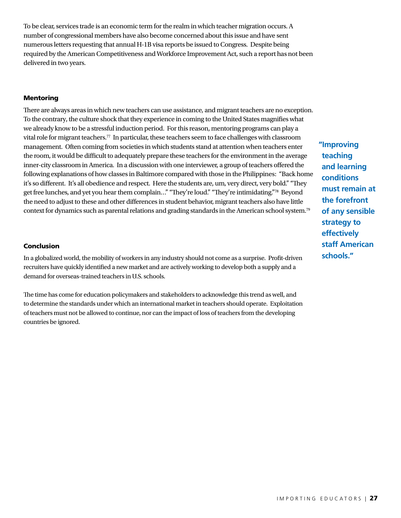To be clear, services trade is an economic term for the realm in which teacher migration occurs. A number of congressional members have also become concerned about this issue and have sent numerous letters requesting that annual H-1B visa reports be issued to Congress. Despite being required by the American Competitiveness and Workforce Improvement Act, such a report has not been delivered in two years.

#### **Mentoring**

There are always areas in which new teachers can use assistance, and migrant teachers are no exception. To the contrary, the culture shock that they experience in coming to the United States magnifies what we already know to be a stressful induction period. For this reason, mentoring programs can play a vital role for migrant teachers.77 In particular, these teachers seem to face challenges with classroom management. Often coming from societies in which students stand at attention when teachers enter the room, it would be difficult to adequately prepare these teachers for the environment in the average inner-city classroom in America. In a discussion with one interviewer, a group of teachers offered the following explanations of how classes in Baltimore compared with those in the Philippines: "Back home it's so different. It's all obedience and respect. Here the students are, um, very direct, very bold." "They get free lunches, and yet you hear them complain…" "They're loud." "They're intimidating."78 Beyond the need to adjust to these and other differences in student behavior, migrant teachers also have little context for dynamics such as parental relations and grading standards in the American school system.79

#### Conclusion

In a globalized world, the mobility of workers in any industry should not come as a surprise. Profit-driven recruiters have quickly identified a new market and are actively working to develop both a supply and a demand for overseas-trained teachers in U.S. schools.

The time has come for education policymakers and stakeholders to acknowledge this trend as well, and to determine the standards under which an international market in teachers should operate. Exploitation of teachers must not be allowed to continue, nor can the impact of loss of teachers from the developing countries be ignored.

**"Improving teaching and learning conditions must remain at the forefront of any sensible strategy to effectively staff American schools."**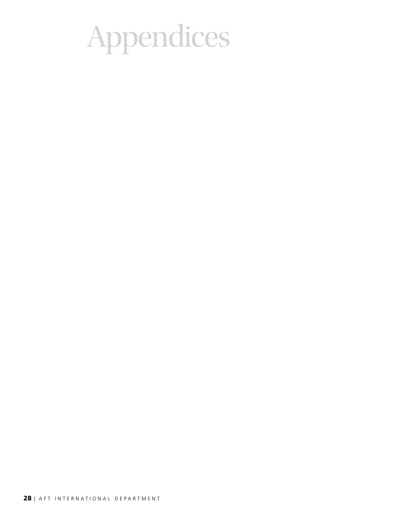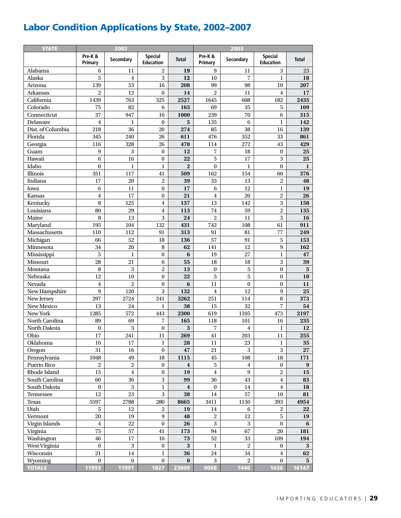| <b>STATE</b>      |                   | 2002             |                                    |                         |                   | 2003             |                                    |                         |
|-------------------|-------------------|------------------|------------------------------------|-------------------------|-------------------|------------------|------------------------------------|-------------------------|
|                   | Pre-K&<br>Primarv | <b>Secondary</b> | <b>Special</b><br><b>Education</b> | <b>Total</b>            | Pre-K&<br>Primary | <b>Secondary</b> | <b>Special</b><br><b>Education</b> | <b>Total</b>            |
| Alabama           | 6                 | 11               | $\overline{c}$                     | 19                      | 9                 | 11               | 3                                  | 23                      |
| Alaska            | 5                 | 4                | 3                                  | 12                      | 10                | $\overline{7}$   | $\mathbf{1}$                       | 18                      |
| Arizona           | 139               | 53               | 16                                 | 208                     | 99                | 98               | 10                                 | 207                     |
| Arkansas          | $\overline{2}$    | 12               | $\bf{0}$                           | 14                      | $\overline{2}$    | 11               | $\overline{4}$                     | 17                      |
| California        | 1439              | 763              | 325                                | 2527                    | 1645              | 608              | 182                                | 2435                    |
| Colorado          | 75                | 82               | 6                                  | 163                     | 69                | 35               | 5                                  | 109                     |
| Connecticut       | 37                | 947              | 16                                 | 1000                    | 239               | 70               | $6\phantom{1}6$                    | 315                     |
| Delaware          | $\overline{4}$    | $\mathbf{1}$     | $\bf{0}$                           | 5                       | 135               | 6                | $\mathbf{1}$                       | 142                     |
| Dist. of Columbia | 218               | 36               | 20                                 | 274                     | 85                | 38               | 16                                 | 139                     |
| Florida           | 345               | 240              | 26                                 | 611                     | 476               | 352              | 33                                 | 861                     |
| Georgia           | 116               | 328              | 26                                 | 470                     | 114               | 272              | 43                                 | 429                     |
| Guam              | 9                 | 3                | $\boldsymbol{0}$                   | 12                      | 7                 | 18               | $\boldsymbol{0}$                   | 25                      |
| Hawaii            | 6                 | 16               | $\boldsymbol{0}$                   | 22                      | $\mathbf 5$       | 17               | 3                                  | 25                      |
| Idaho             | $\bf{0}$          | $\mathbf{1}$     | $\bf{l}$                           | $\overline{2}$          | $\boldsymbol{0}$  | $\mathbf{1}$     | $\boldsymbol{0}$                   | $\bf{l}$                |
| Illinois          | 351               | 117              | 41                                 | 509                     | 162               | 154              | 60                                 | 376                     |
| Indiana           | 17                | 20               | $\overline{2}$                     | 39                      | 33                | 13               | $\overline{2}$                     | 48                      |
| Iowa              | 6                 | 11               | $\bf{0}$                           | 17                      | 6                 | 12               | $\mathbf{1}$                       | 19                      |
| Kansas            | $\overline{4}$    | 17               | $\bf{0}$                           | 21                      | $\overline{4}$    | 20               | $\overline{c}$                     | 26                      |
| Kentucky          | 8                 | 125              | $\overline{\mathbf{4}}$            | 137                     | 13                | 142              | $\sqrt{3}$                         | 158                     |
| Louisiana         | 80                | 29               | $\overline{4}$                     | 113                     | 74                | 59               | $\overline{2}$                     | 135                     |
| Maine             | 8                 | 13               | 3                                  | 24                      | $\overline{2}$    | 11               | 3                                  | ${\bf 16}$              |
| Maryland          | 195               | 104              | 132                                | 431                     | 742               | 108              | 61                                 | 911                     |
| Massachusetts     | 110               | 112              | 91                                 | 313                     | 91                | 81               | 77                                 | 249                     |
| Michigan          | 66                | 52               | 18                                 | 136                     | $\overline{57}$   | 91               | 5                                  | 153                     |
| Minnesota         | 34                | 20               | $\bf 8$                            | 62                      | 141               | 12               | $\boldsymbol{9}$                   | 162                     |
| Mississippi       | 5                 | $\mathbf{1}$     | $\bf{0}$                           | 6                       | 19                | 27               | $\mathbf{1}$                       | 47                      |
| Missouri          | 28                | 21               | 6                                  | 55                      | 18                | 18               | $\sqrt{3}$                         | 39                      |
| Montana           | $\bf 8$           | 3                | $\overline{c}$                     | 13                      | $\boldsymbol{0}$  | 5                | $\boldsymbol{0}$                   | $\overline{\mathbf{5}}$ |
| Nebraska          | 12                | 10               | $\pmb{0}$                          | 22                      | 5                 | 5                | $\bf{0}$                           | ${\bf 10}$              |
| Nevada            | $\overline{4}$    | $\overline{c}$   | $\boldsymbol{0}$                   | 6                       | 11                | $\boldsymbol{0}$ | $\boldsymbol{0}$                   | 11                      |
| New Hampshire     | $\overline{9}$    | 120              | 3                                  | 132                     | $\overline{4}$    | 12               | $\overline{9}$                     | 25                      |
| New Jersey        | 297               | 2724             | 241                                | 3262                    | 251               | 114              | 8                                  | 373                     |
| New Mexico        | 13                | 24               | $\mathbf{1}$                       | 38                      | 15                | 32               | $\overline{7}$                     | 54                      |
| New York          | 1285              | 572              | 443                                | 2300                    | 619               | 1105             | 473                                | 2197                    |
| North Carolina    | 89                | 69               | 7                                  | 165                     | 118               | 101              | 16                                 | 235                     |
| North Dakota      | $\mathbf{0}$      | 3                | $\bf{0}$                           | 3                       | 7                 | 4                | $\mathbf{1}$                       | 12                      |
| Ohio              | 17                | 241              | 11                                 | 269                     | 41                | 203              | 11                                 | 255                     |
| Oklahoma          | 10                | 17               | $\bf{l}$                           | 28                      | 11                | 23               | 1                                  | 35                      |
| Oregon            | 31                | $16\,$           | $\pmb{0}$                          | 47                      | 21                | 3                | 3                                  | 27                      |
| Pennsylvania      | 1048              | 49               | $18\,$                             | 1115                    | 45                | $108\,$          | 18                                 | 171                     |
| Puerto Rico       | 2                 | $\overline{2}$   | $\bf{0}$                           | $\overline{\mathbf{4}}$ | $\sqrt{5}$        | $\overline{4}$   | $\bf{0}$                           | $\boldsymbol{9}$        |
| Rhode Island      | 15                | $\overline{4}$   | $\bf{0}$                           | 19                      | $\overline{4}$    | $\boldsymbol{9}$ | $\overline{c}$                     | $15\,$                  |
| South Carolina    | 60                | 36               | 3                                  | 99                      | 36                | 43               | $\overline{4}$                     | 83                      |
| South Dakota      | $\bf{0}$          | 3                | $\bf{l}$                           | $\overline{\mathbf{4}}$ | $\bf{0}$          | 14               | $\overline{4}$                     | 18                      |
| Tennessee         | 12                | 23               | $\sqrt{3}$                         | 38                      | 14                | 57               | 10                                 | 81                      |
| <b>Texas</b>      | 5597              | 2788             | 280                                | 8665                    | 3411              | 1150             | 393                                | 4954                    |
| Utah              | 5                 | 12               | $\,2$                              | ${\bf 19}$              | 14                | 6                | $\sqrt{2}$                         | 22                      |
| Vermont           | 20                | 19               | 9                                  | 48                      | $\overline{c}$    | 12               | 5                                  | 19                      |
| Virgin Islands    | $\overline{4}$    | 22               | $\pmb{0}$                          | 26                      | 3                 | 3                | $\mathbf{0}$                       | 6                       |
| Virginia          | $75\,$            | 57               | 41                                 | 173                     | 94                | 67               | 20                                 | 181                     |
| Washington        | 46                | $17\,$           | $10\,$                             | 73                      | 52                | 33               | 109                                | 194                     |
| West Virginia     | $\bf{0}$          | 3                | $\boldsymbol{0}$                   | 3                       | 1                 | $\overline{c}$   | 0                                  | $\bf{3}$                |
| Wisconsin         | 21                | 14               | $\bf{l}$                           | 36                      | 24                | 34               | 4                                  | 62                      |
| Wyoming           | $\bf{0}$          | $\bf{0}$         | $\bf{0}$                           | $\bf{0}$                | 3                 | 2                | 0                                  | 5                       |
| <b>TOTALS</b>     | 11993             | 11991            | 1827                               | 23809                   | 9068              | 7446             | 1636                               | 16147                   |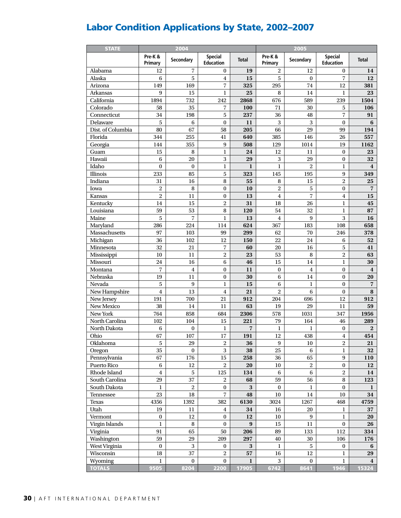| <b>Special</b><br><b>Special</b><br>Pre-K&<br>Pre-K&<br><b>Secondary</b><br><b>Secondary</b><br><b>Total</b><br><b>Total</b><br>Primary<br><b>Education</b><br>Primary<br><b>Education</b><br>Alabama<br>7<br>12<br>19<br>$\boldsymbol{2}$<br>12<br>$\bf{0}$<br>$\bf{0}$<br>6<br>5<br>5<br>$\overline{4}$<br>15<br>$\overline{7}$<br>Alaska<br>$\mathbf{0}$ |  |
|-------------------------------------------------------------------------------------------------------------------------------------------------------------------------------------------------------------------------------------------------------------------------------------------------------------------------------------------------------------|--|
|                                                                                                                                                                                                                                                                                                                                                             |  |
|                                                                                                                                                                                                                                                                                                                                                             |  |
|                                                                                                                                                                                                                                                                                                                                                             |  |
| $\overline{\mathcal{U}}$<br>12<br>149<br>325<br>295<br>74<br>381<br>169<br>Arizona                                                                                                                                                                                                                                                                          |  |
| Arkansas<br>9<br>25<br>15<br>ı<br>8<br>14<br>1                                                                                                                                                                                                                                                                                                              |  |
| California<br>1894<br>732<br>239<br>242<br>2868<br>676<br>589<br>1504                                                                                                                                                                                                                                                                                       |  |
| Colorado<br>35<br>58<br>100<br>30<br>5<br>106<br>7<br>71                                                                                                                                                                                                                                                                                                    |  |
| $\overline{5}$<br>$\overline{7}$<br>34<br>198<br>Connecticut<br>237<br>36<br>48                                                                                                                                                                                                                                                                             |  |
| 5<br>$\bf{0}$<br>3<br>3<br>$\bf{0}$<br>Delaware<br>6<br>11                                                                                                                                                                                                                                                                                                  |  |
| 80<br>67<br>66<br>29<br>Dist. of Columbia<br>58<br>205<br>99<br>194                                                                                                                                                                                                                                                                                         |  |
| Florida<br>640<br>146<br>344<br>255<br>41<br>385<br>26<br>557                                                                                                                                                                                                                                                                                               |  |
| $\boldsymbol{9}$<br>144<br>355<br>508<br>129<br>1014<br>19<br>1162<br>Georgia                                                                                                                                                                                                                                                                               |  |
| 24<br>Guam<br>15<br>8<br>$\bf{l}$<br>12<br>11<br>$\bf{0}$                                                                                                                                                                                                                                                                                                   |  |
| Hawaii<br>20<br>3<br>29<br>$\sqrt{3}$<br>29<br>6<br>$\bf{0}$                                                                                                                                                                                                                                                                                                |  |
| Idaho<br>$\overline{c}$<br>$\bf{0}$<br>$\bf{0}$<br>ı<br>$\mathbf{1}$<br>1<br>1                                                                                                                                                                                                                                                                              |  |
| $\overline{5}$<br>$\boldsymbol{9}$<br>Illinois<br>323<br>233<br>85<br>145<br>195<br>349                                                                                                                                                                                                                                                                     |  |
| Indiana<br>8<br>$\overline{2}$<br>31<br>16<br>55<br>$\bf 8$<br>15                                                                                                                                                                                                                                                                                           |  |
| $\overline{c}$<br>$\overline{2}$<br>5<br>$\bf 8$<br>$\bf{0}$<br>$\pmb{0}$<br>10<br>Iowa                                                                                                                                                                                                                                                                     |  |
| $\overline{c}$<br>$\mathbf{0}$<br>$\overline{7}$<br>13<br>$\overline{4}$<br>$\overline{4}$<br>11<br>Kansas                                                                                                                                                                                                                                                  |  |
| 14<br>$\overline{2}$<br>15<br>31<br>26<br>$\bf{l}$<br>Kentucky<br>18                                                                                                                                                                                                                                                                                        |  |
| Louisiana<br>59<br>53<br>8<br>120<br>54<br>32<br>$\bf{l}$                                                                                                                                                                                                                                                                                                   |  |
| 5<br>$\overline{\mathcal{U}}$<br>Maine<br>$\overline{9}$<br>3<br>ı<br>13<br>$\overline{4}$                                                                                                                                                                                                                                                                  |  |
| 624<br>Maryland<br>286<br>224<br>114<br>367<br>183<br>108<br>658                                                                                                                                                                                                                                                                                            |  |
| Massachusetts<br>97<br>99<br>299<br>62<br>70<br>246<br>378<br>103                                                                                                                                                                                                                                                                                           |  |
| Michigan<br>36<br>12<br>150<br>22<br>24<br>$\,6$<br>102                                                                                                                                                                                                                                                                                                     |  |
| $\overline{5}$<br>32<br>$\sqrt{ }$<br>21<br>20<br>16<br>Minnesota<br>60                                                                                                                                                                                                                                                                                     |  |
| $\overline{2}$<br>$\overline{c}$<br>10<br>11<br>23<br>53<br>8<br>Mississippi                                                                                                                                                                                                                                                                                |  |
| 16<br>$\,6\,$<br>15<br>14<br>Missouri<br>24<br>46<br>$\bf{l}$                                                                                                                                                                                                                                                                                               |  |
| Montana<br>$\overline{7}$<br>$\mathbf{0}$<br>11<br>$\pmb{0}$<br>$\overline{4}$<br>$\bf{0}$<br>$\overline{4}$                                                                                                                                                                                                                                                |  |
| Nebraska<br>19<br>30<br>11<br>$\bf{0}$<br>6<br>14<br>$\bf{0}$                                                                                                                                                                                                                                                                                               |  |
| $\overline{5}$<br>Nevada<br>$\boldsymbol{9}$<br>15<br>1<br>6<br>$\mathbf{0}$<br>1                                                                                                                                                                                                                                                                           |  |
| $\overline{\mathbf{4}}$<br>$\overline{c}$<br>New Hampshire<br>21<br>13<br>$\overline{4}$<br>6<br>$\bf{0}$                                                                                                                                                                                                                                                   |  |
| 912<br>12<br>700<br>21<br>696<br>912<br>New Jersey<br>191<br>204                                                                                                                                                                                                                                                                                            |  |
| 11<br>38<br>14<br>11<br>63<br>19<br>29<br>New Mexico                                                                                                                                                                                                                                                                                                        |  |
| New York<br>764<br>858<br>2306<br>578<br>1031<br>1956<br>684<br>347                                                                                                                                                                                                                                                                                         |  |
| North Carolina<br>102<br>104<br>15<br>221<br>79<br>164<br>46<br>289                                                                                                                                                                                                                                                                                         |  |
| North Dakota<br>6<br>$\bf{0}$<br>7<br>$\boldsymbol{0}$<br>1<br>1<br>1                                                                                                                                                                                                                                                                                       |  |
| 67<br>107<br>17<br>191<br>12<br>438<br>$\overline{4}$<br>454<br>Ohio                                                                                                                                                                                                                                                                                        |  |
| $\mathbf 5$<br>$\,2$<br>Oklahoma<br>29<br>$\boldsymbol{2}$<br>36<br>$\boldsymbol{9}$<br>10                                                                                                                                                                                                                                                                  |  |
| 35<br>$\sqrt{3}$<br>$25\,$<br>Oregon<br>38<br>$\bf{l}$<br>$\bf{0}$<br>6<br>67<br>15<br>258<br>$\boldsymbol{9}$                                                                                                                                                                                                                                              |  |
| Pennsylvania<br>36<br>65<br>176<br>110<br>$\,6\,$<br>12<br>$\overline{c}$<br>$\boldsymbol{2}$<br>$\pmb{0}$<br>20<br>10                                                                                                                                                                                                                                      |  |
| Puerto Rico<br>$\overline{\mathbf{4}}$<br>$\overline{c}$<br>$\mathbf 5$<br>125<br>134<br>$\,6\,$<br>6<br>Rhode Island                                                                                                                                                                                                                                       |  |
| 29<br>37<br>59<br>56<br>$\bf 8$<br>South Carolina<br>2<br>68<br>123                                                                                                                                                                                                                                                                                         |  |
| South Dakota<br>$\sqrt{2}$<br>$\bf{l}$<br>$\bf{0}$<br>3<br>$\bf{0}$<br>$\bf{0}$<br>1                                                                                                                                                                                                                                                                        |  |
| 23<br>$\overline{7}$<br>18<br>48<br>14<br>$10\,$<br>Tennessee<br>10                                                                                                                                                                                                                                                                                         |  |
| 4356<br>1392<br>6130<br>3024<br>1267<br>4759<br><b>Texas</b><br>382<br>468                                                                                                                                                                                                                                                                                  |  |
| 19<br>Utah<br>34<br>16<br>20<br>4                                                                                                                                                                                                                                                                                                                           |  |
| 11<br>1<br>$\boldsymbol{0}$<br>12<br>12<br>9<br>Vermont<br>$\mathbf{0}$<br>10<br>$\bf{l}$                                                                                                                                                                                                                                                                   |  |
| $\bf{l}$<br>Virgin Islands<br>$\boldsymbol{9}$<br>15<br>11<br>$\pmb{0}$<br>8<br>$\mathbf{0}$                                                                                                                                                                                                                                                                |  |
| 91<br>65<br>50<br>206<br>89<br>112<br>Virginia<br>133<br>334                                                                                                                                                                                                                                                                                                |  |
| Washington<br>29<br>59<br>209<br>297<br>40<br>30<br>106<br>176                                                                                                                                                                                                                                                                                              |  |
| West Virginia<br>$\boldsymbol{0}$<br>$\sqrt{5}$<br>3<br>$\mathbf{0}$<br>3<br>1<br>0                                                                                                                                                                                                                                                                         |  |
| Wisconsin<br>18<br>37<br>2<br>57<br>12<br>16<br>1                                                                                                                                                                                                                                                                                                           |  |
| Wyoming<br>3<br>1<br>0<br>0<br>$\mathbf{1}$<br>$\bf{0}$<br>$\bf{l}$                                                                                                                                                                                                                                                                                         |  |
| 6742<br><b>TOTALS</b><br>9505<br>8204<br>2200<br>17905<br>8641<br>1946<br>15324                                                                                                                                                                                                                                                                             |  |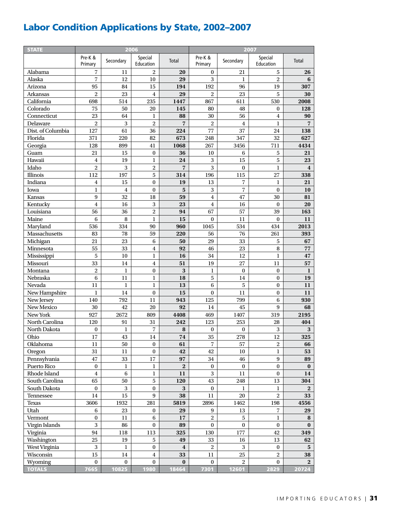| <b>STATE</b>                   |                         |                  | 2006                 |                         | 2007                     |                  |                              |                         |
|--------------------------------|-------------------------|------------------|----------------------|-------------------------|--------------------------|------------------|------------------------------|-------------------------|
|                                | Pre-K &<br>Primary      | Secondary        | Special<br>Education | Total                   | Pre-K&<br>Primary        | Secondary        | Special<br>Education         | Total                   |
| Alabama                        | $\overline{7}$          | 11               | $\overline{2}$       | 20                      | $\bf{0}$                 | 21               | 5                            | 26                      |
| Alaska                         | $\overline{7}$          | 12               | 10                   | 29                      | 3                        | $\mathbf{1}$     | $\overline{2}$               | 6                       |
| Arizona                        | 95                      | 84               | 15                   | 194                     | 192                      | 96               | 19                           | 307                     |
| Arkansas                       | $\overline{c}$          | 23               | $\overline{4}$       | 29                      | $\overline{c}$           | 23               | 5                            | 30                      |
| California                     | 698                     | 514              | 235                  | 1447                    | 867                      | 611              | 530                          | 2008                    |
| Colorado                       | 75                      | 50               | 20                   | 145                     | 80                       | 48               | $\bf{0}$                     | 128                     |
| Connecticut                    | 23                      | 64               | $\bf{l}$             | 88                      | 30                       | 56               | $\overline{4}$               | 90                      |
| Delaware                       | $\overline{c}$          | 3                | $\overline{2}$       | $\overline{7}$          | $\overline{2}$           | 4                | $\mathbf{1}$                 | $\overline{7}$          |
| Dist. of Columbia              | 127                     | 61               | 36                   | 224                     | 77                       | 37               | 24                           | 138                     |
| Florida                        | 371                     | 220              | 82                   | 673                     | 248                      | 347              | 32                           | 627                     |
| Georgia                        | 128                     | 899              | 41                   | 1068                    | 267                      | 3456             | 711                          | 4434                    |
| Guam                           | 21                      | 15               | $\bf{0}$             | 36                      | 10                       | 6                | 5                            | 21                      |
| Hawaii                         | $\overline{4}$          | 19               | $\bf{l}$             | 24                      | $\sqrt{3}$               | 15               | 5                            | 23                      |
| Idaho                          | $\overline{2}$          | 3                | $\overline{2}$       | $\overline{7}$          | 3                        | $\bf{0}$         | $\mathbf{1}$                 | $\overline{\mathbf{4}}$ |
| Illinois                       | 112                     | 197              | 5                    | 314                     | 196                      | 115              | 27                           | 338                     |
| Indiana                        | 4                       | 15               | $\mathbf{0}$         | 19                      | 13                       | 7                | $\mathbf{1}$                 | 21                      |
| Iowa                           | $\bf{l}$                | $\overline{4}$   | $\mathbf{0}$         | 5                       | 3                        | $\overline{7}$   | $\mathbf{0}$                 | 10                      |
| Kansas                         | 9                       | 32               | 18                   | 59                      | $\overline{\mathbf{4}}$  | 47               | 30                           | 81                      |
| Kentucky                       | $\overline{4}$          | 16               | 3                    | 23                      | 4                        | 16               | $\mathbf{0}$                 | 20                      |
| Louisiana                      | 56                      | 36               | $\overline{c}$       | 94                      | 67                       | 57               | 39                           | 163                     |
| Maine                          | $6\phantom{1}6$         | $\bf 8$          | $\bf{l}$             | 15                      | $\boldsymbol{0}$         | 11               | $\boldsymbol{0}$             | 11                      |
| Maryland                       | 536                     | 334              | 90                   | 960                     | 1045                     | 534              | 434                          | 2013                    |
| Massachusetts                  | 83                      | 78               | 59                   | 220                     | 56                       | 76               | 261                          | 393                     |
| Michigan                       | 21                      | 23               | 6                    | 50                      | 29                       | 33               | 5                            | 67                      |
| Minnesota                      | 55                      | 33               | $\overline{4}$       | 92                      | 46                       | 23               | 8                            | 77                      |
| Mississippi                    | 5                       | 10               | $\bf{l}$             | 16                      | 34                       | 12               | 1                            | 47                      |
| Missouri                       | 33                      | 14               | 4                    | 51                      | 19                       | 27               | 11                           | 57                      |
| Montana                        | $\overline{c}$          | $\bf{l}$         | $\mathbf{0}$         | $\bf{3}$                | $\mathbf{1}$             | $\mathbf{0}$     | $\bf{0}$                     | $\mathbf{1}$            |
| Nebraska                       | $\,6$                   | 11               | $\bf{l}$             | 18                      | $\sqrt{5}$               | 14               | $\bf{0}$                     | 19                      |
| Nevada                         | 11                      | $\mathbf{1}$     | $\mathbf{1}$         | 13                      | $\,6$                    | 5                | $\bf{0}$                     | 11                      |
| New Hampshire                  | $\bf{l}$                | 14               | $\bf{0}$             | 15                      | $\bf{0}$                 | 11               | $\boldsymbol{0}$             | 11                      |
| New Jersey                     | 140                     | 792              | 11                   | 943                     | 125                      | 799              | 6                            | 930                     |
| New Mexico                     | 30                      | 42               | 20                   | 92                      | 14                       | 45               | 9                            | 68                      |
| New York                       | 927                     | 2672             | 809                  | 4408                    | 469                      | 1407             | 319                          | 2195                    |
| North Carolina                 | 120                     | 91               | 31                   | 242                     | 123                      | 253              | 28                           | 404                     |
| North Dakota                   | $\boldsymbol{0}$        | 1                | 7                    | 8                       | $\boldsymbol{0}$         | $\bf{0}$         | 3                            | $\mathbf{3}$            |
| Ohio                           | 17                      | 43               | 14                   | 74                      | 35                       | 278              | 12                           | 325                     |
| Oklahoma                       | 11                      | 50               | $\bf{0}$             | 61                      | $\overline{7}$           | 57               | $\overline{2}$               | 66                      |
| Oregon                         | 31                      | 11               | $\bf{0}$             | 42                      | 42                       | $10\,$           | 1                            | 53                      |
| Pennsylvania<br>Puerto Rico    | 47                      | 33               | $17\,$               | 97<br>$\bf 2$           | 34                       | 46<br>$\bf{0}$   | $\boldsymbol{9}$<br>$\bf{0}$ | 89                      |
|                                | $\boldsymbol{0}$        | $\bf{l}$         | $\mathbf{1}$         |                         | $\boldsymbol{0}$         |                  |                              | $\bf{0}$                |
| Rhode Island                   | $\overline{\mathbf{4}}$ | $\,6$            | $\bf{l}$             | 11                      | 3                        | $11\phantom{.0}$ | $\bf{0}$                     | 14                      |
| South Carolina<br>South Dakota | 65                      | 50<br>$\sqrt{3}$ | 5<br>$\bf{0}$        | 120<br>3                | 43                       | 248              | 13                           | 304                     |
|                                | $\boldsymbol{0}$        |                  | $\boldsymbol{9}$     |                         | $\bf{0}$                 | 1                | 1<br>$\,2$                   | $\mathbf{2}$            |
| Tennessee                      | 14                      | 15<br>1932       | 281                  | 38                      | $11\phantom{.0}$<br>2896 | 20<br>1462       |                              | 33                      |
| Texas                          | 3606                    |                  |                      | 5819                    |                          |                  | 198                          | 4556                    |
| Utah<br>Vermont                | 6<br>$\bf{0}$           | 23<br>11         | $\bf{0}$<br>$\,6\,$  | 29<br>17                | 9<br>$\overline{c}$      | 13<br>5          | $\overline{7}$<br>$\bf{l}$   | 29<br>8                 |
| Virgin Islands                 | 3                       | 86               | $\bf{0}$             | 89                      | $\bf{0}$                 | $\bf{0}$         | $\bf{0}$                     | $\bf{0}$                |
| Virginia                       | 94                      | 118              | 113                  | 325                     | 130                      | 177              | 42                           | 349                     |
| Washington                     | 25                      | 19               | 5                    | 49                      | 33                       |                  | 13                           | 62                      |
| West Virginia                  | 3                       | 1                | 0                    | $\overline{\mathbf{4}}$ | $\boldsymbol{2}$         | 16<br>3          | $\bf{0}$                     | 5                       |
| Wisconsin                      | $15\,$                  | 14               | $\overline{4}$       | 33                      | $11\,$                   | 25               | $\boldsymbol{2}$             | 38                      |
| Wyoming                        | $\bf{0}$                | $\bf{0}$         | $\mathbf{0}$         | $\bf{0}$                | $\bf{0}$                 | $\overline{2}$   | $\bf{0}$                     | $\overline{2}$          |
| <b>TOTALS</b>                  | 7665                    | 10825            | 1980                 | 18464                   | 7301                     | 12601            | 2829                         | 20724                   |
|                                |                         |                  |                      |                         |                          |                  |                              |                         |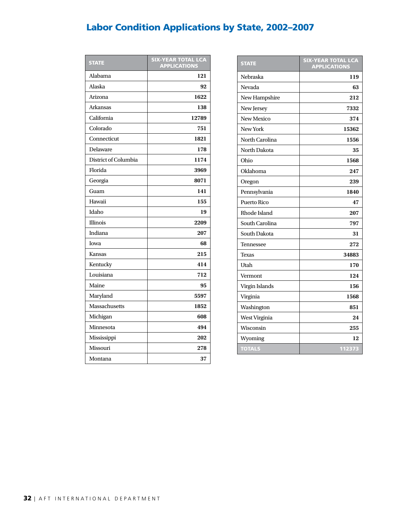| <b>STATE</b>         | SIX-YEAR TOTAL LCA<br><b>APPLICATIONS</b> |
|----------------------|-------------------------------------------|
| Alabama              | 121                                       |
| Alaska               | 92                                        |
| Arizona              | 1622                                      |
| Arkansas             | 138                                       |
| California           | 12789                                     |
| Colorado             | 751                                       |
| Connecticut          | 1821                                      |
| Delaware             | 178                                       |
| District of Columbia | 1174                                      |
| Florida              | 3969                                      |
| Georgia              | 8071                                      |
| Guam                 | 141                                       |
| Hawaii               | 155                                       |
| Idaho                | 19                                        |
| Illinois             | 2209                                      |
| Indiana              | 207                                       |
| Iowa                 | 68                                        |
| <b>Kansas</b>        | 215                                       |
| Kentucky             | 414                                       |
| Louisiana            | 712                                       |
| Maine                | 95                                        |
| Maryland             | 5597                                      |
| Massachusetts        | 1852                                      |
| Michigan             | 608                                       |
| Minnesota            | 494                                       |
| Mississippi          | 202                                       |
| Missouri             | 278                                       |
| Montana              | 37                                        |

| <b>STATE</b>       | <b>SIX-YEAR TOTAL LCA</b><br><b>APPLICATIONS</b> |
|--------------------|--------------------------------------------------|
| Nebraska           | 119                                              |
| Nevada             | 63                                               |
| New Hampshire      | 212                                              |
| New Jersey         | 7332                                             |
| <b>New Mexico</b>  | 374                                              |
| New York           | 15362                                            |
| North Carolina     | 1556                                             |
| North Dakota       | 35                                               |
| Ohio               | 1568                                             |
| Oklahoma           | 247                                              |
| Oregon             | 239                                              |
| Pennsylvania       | 1840                                             |
| <b>Puerto Rico</b> | 47                                               |
| Rhode Island       | 207                                              |
| South Carolina     | 797                                              |
| South Dakota       | 31                                               |
| Tennessee          | 272                                              |
| Texas              | 34883                                            |
| Utah               | 170                                              |
| Vermont            | 124                                              |
| Virgin Islands     | 156                                              |
| Virginia           | 1568                                             |
| Washington         | 851                                              |
| West Virginia      | 24                                               |
| Wisconsin          | 255                                              |
| Wyoming            | 12                                               |
| <b>TOTALS</b>      | 112373                                           |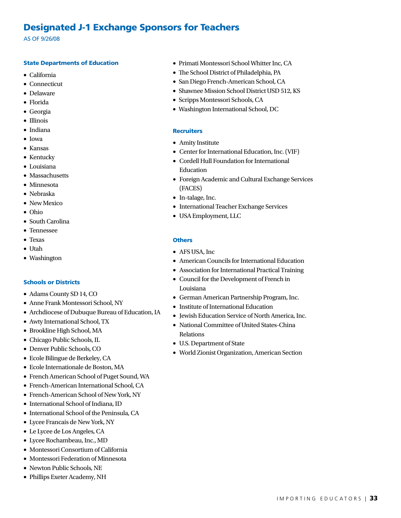#### Designated J-1 Exchange Sponsors for Teachers

as of 9/26/08

#### State Departments of Education

- • California
- Connecticut
- Delaware
- • Florida
- • Georgia
- Illinois
- • Indiana
- Iowa
- • Kansas
- Kentucky
- • Louisiana
- Massachusetts
- Minnesota
- • Nebraska
- New Mexico
- Ohio
- South Carolina
- • Tennessee
- • Texas
- • Utah
- Washington

#### Schools or Districts

- Adams County SD 14, CO
- Anne Frank Montessori School, NY
- • Archdiocese of Dubuque Bureau of Education, IA
- Awty International School, TX
- • Brookline High School, MA
- • Chicago Public Schools, IL
- Denver Public Schools, CO
- • Ecole Bilingue de Berkeley, CA
- • Ecole Internationale de Boston, MA
- French American School of Puget Sound, WA
- French-American International School, CA
- • French-American School of New York, NY
- • International School of Indiana, ID
- International School of the Peninsula, CA
- • Lycee Francais de New York, NY
- • Le Lycee de Los Angeles, CA
- • Lycee Rochambeau, Inc., MD
- • Montessori Consortium of California
- Montessori Federation of Minnesota
- Newton Public Schools, NE
- • Phillips Exeter Academy, NH
- • Primati Montessori School Whitter Inc, CA
- The School District of Philadelphia, PA
- • San Diego French-American School, CA
- Shawnee Mission School District USD 512, KS
- Scripps Montessori Schools, CA
- • Washington International School, DC

#### **Recruiters**

- Amity Institute
- Center for International Education, Inc. (VIF)
- Cordell Hull Foundation for International Education
- • Foreign Academic and Cultural Exchange Services (FACES)
- In-talage, Inc.
- • International Teacher Exchange Services
- • USA Employment, LLC

#### **Others**

- AFS USA, Inc
- American Councils for International Education
- • Association for International Practical Training
- • Council for the Development of French in Louisiana
- • German American Partnership Program, Inc.
- • Institute of International Education
- Jewish Education Service of North America, Inc.
- National Committee of United States-China Relations
- U.S. Department of State
- • World Zionist Organization, American Section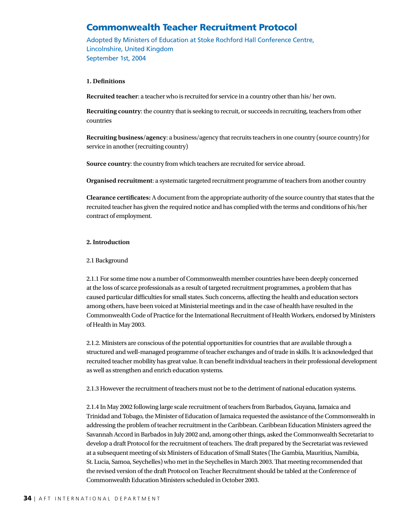#### Commonwealth Teacher Recruitment Protocol

Adopted By Ministers of Education at Stoke Rochford Hall Conference Centre, Lincolnshire, United Kingdom September 1st, 2004

#### **1. Definitions**

**Recruited teacher**: a teacher who is recruited for service in a country other than his/ her own.

**Recruiting country**: the country that is seeking to recruit, or succeeds in recruiting, teachers from other countries

**Recruiting business/agency**: a business/agency that recruits teachers in one country (source country) for service in another (recruiting country)

**Source country**: the country from which teachers are recruited for service abroad.

**Organised recruitment**: a systematic targeted recruitment programme of teachers from another country

**Clearance certificates:** A document from the appropriate authority of the source country that states that the recruited teacher has given the required notice and has complied with the terms and conditions of his/her contract of employment.

#### **2. Introduction**

#### 2.1 Background

2.1.1 For some time now a number of Commonwealth member countries have been deeply concerned at the loss of scarce professionals as a result of targeted recruitment programmes, a problem that has caused particular difficulties for small states. Such concerns, affecting the health and education sectors among others, have been voiced at Ministerial meetings and in the case of health have resulted in the Commonwealth Code of Practice for the International Recruitment of Health Workers, endorsed by Ministers of Health in May 2003.

2.1.2. Ministers are conscious of the potential opportunities for countries that are available through a structured and well-managed programme of teacher exchanges and of trade in skills. It is acknowledged that recruited teacher mobility has great value. It can benefit individual teachers in their professional development as well as strengthen and enrich education systems.

2.1.3 However the recruitment of teachers must not be to the detriment of national education systems.

2.1.4 In May 2002 following large scale recruitment of teachers from Barbados, Guyana, Jamaica and Trinidad and Tobago, the Minister of Education of Jamaica requested the assistance of the Commonwealth in addressing the problem of teacher recruitment in the Caribbean. Caribbean Education Ministers agreed the Savannah Accord in Barbados in July 2002 and, among other things, asked the Commonwealth Secretariat to develop a draft Protocol for the recruitment of teachers. The draft prepared by the Secretariat was reviewed at a subsequent meeting of six Ministers of Education of Small States (The Gambia, Mauritius, Namibia, St. Lucia, Samoa, Seychelles) who met in the Seychelles in March 2003. That meeting recommended that the revised version of the draft Protocol on Teacher Recruitment should be tabled at the Conference of Commonwealth Education Ministers scheduled in October 2003.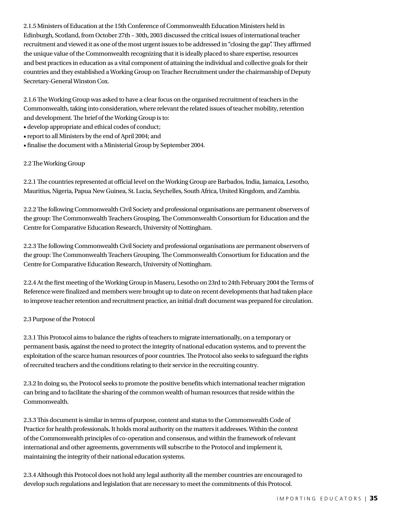2.1.5 Ministers of Education at the 15th Conference of Commonwealth Education Ministers held in Edinburgh, Scotland, from October 27th – 30th, 2003 discussed the critical issues of international teacher recruitment and viewed it as one of the most urgent issues to be addressed in "closing the gap". They affirmed the unique value of the Commonwealth recognizing that it is ideally placed to share expertise, resources and best practices in education as a vital component of attaining the individual and collective goals for their countries and they established a Working Group on Teacher Recruitment under the chairmanship of Deputy Secretary-General Winston Cox.

2.1.6 The Working Group was asked to have a clear focus on the organised recruitment of teachers in the Commonwealth, taking into consideration, where relevant the related issues of teacher mobility, retention and development. The brief of the Working Group is to:

- develop appropriate and ethical codes of conduct;
- report to all Ministers by the end of April 2004; and
- finalise the document with a Ministerial Group by September 2004.

#### 2.2 The Working Group

2.2.1 The countries represented at official level on the Working Group are Barbados, India, Jamaica, Lesotho, Mauritius, Nigeria, Papua New Guinea, St. Lucia, Seychelles, South Africa, United Kingdom, and Zambia.

2.2.2 The following Commonwealth Civil Society and professional organisations are permanent observers of the group: The Commonwealth Teachers Grouping, The Commonwealth Consortium for Education and the Centre for Comparative Education Research, University of Nottingham.

2.2.3 The following Commonwealth Civil Society and professional organisations are permanent observers of the group: The Commonwealth Teachers Grouping, The Commonwealth Consortium for Education and the Centre for Comparative Education Research, University of Nottingham.

2.2.4 At the first meeting of the Working Group in Maseru, Lesotho on 23rd to 24th February 2004 the Terms of Reference were finalized and members were brought up to date on recent developments that had taken place to improve teacher retention and recruitment practice, an initial draft document was prepared for circulation.

#### 2.3 Purpose of the Protocol

2.3.1 This Protocol aims to balance the rights of teachers to migrate internationally, on a temporary or permanent basis, against the need to protect the integrity of national education systems, and to prevent the exploitation of the scarce human resources of poor countries. The Protocol also seeks to safeguard the rights of recruited teachers and the conditions relating to their service in the recruiting country.

2.3.2 In doing so, the Protocol seeks to promote the positive benefits which international teacher migration can bring and to facilitate the sharing of the common wealth of human resources that reside within the Commonwealth.

2.3.3 This document is similar in terms of purpose, content and status to the Commonwealth Code of Practice for health professionals**.** It holds moral authority on the matters it addresses. Within the context of the Commonwealth principles of co-operation and consensus, and within the framework of relevant international and other agreements, governments will subscribe to the Protocol and implement it, maintaining the integrity of their national education systems.

2.3.4 Although this Protocol does not hold any legal authority all the member countries are encouraged to develop such regulations and legislation that are necessary to meet the commitments of this Protocol.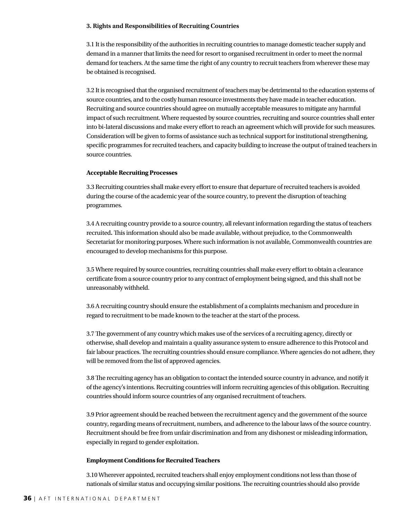#### **3. Rights and Responsibilities of Recruiting Countries**

3.1 It is the responsibility of the authorities in recruiting countries to manage domestic teacher supply and demand in a manner that limits the need for resort to organised recruitment in order to meet the normal demand for teachers. At the same time the right of any country to recruit teachers from wherever these may be obtained is recognised.

3.2 It is recognised that the organised recruitment of teachers may be detrimental to the education systems of source countries, and to the costly human resource investments they have made in teacher education. Recruiting and source countries should agree on mutually acceptable measures to mitigate any harmful impact of such recruitment. Where requested by source countries, recruiting and source countries shall enter into bi-lateral discussions and make every effort to reach an agreement which will provide for such measures. Consideration will be given to forms of assistance such as technical support for institutional strengthening, specific programmes for recruited teachers, and capacity building to increase the output of trained teachers in source countries.

#### **Acceptable Recruiting Processes**

3.3 Recruiting countries shall make every effort to ensure that departure of recruited teachers is avoided during the course of the academic year of the source country, to prevent the disruption of teaching programmes.

3.4 A recruiting country provide to a source country, all relevant information regarding the status of teachers recruited**.** This information should also be made available, without prejudice, to the Commonwealth Secretariat for monitoring purposes. Where such information is not available, Commonwealth countries are encouraged to develop mechanisms for this purpose.

3.5 Where required by source countries, recruiting countries shall make every effort to obtain a clearance certificate from a source country prior to any contract of employment being signed, and this shall not be unreasonably withheld.

3.6 A recruiting country should ensure the establishment of a complaints mechanism and procedure in regard to recruitment to be made known to the teacher at the start of the process.

3.7 The government of any country which makes use of the services of a recruiting agency, directly or otherwise, shall develop and maintain a quality assurance system to ensure adherence to this Protocol and fair labour practices. The recruiting countries should ensure compliance. Where agencies do not adhere, they will be removed from the list of approved agencies.

3.8 The recruiting agency has an obligation to contact the intended source country in advance, and notify it of the agency's intentions. Recruiting countries will inform recruiting agencies of this obligation. Recruiting countries should inform source countries of any organised recruitment of teachers.

3.9 Prior agreement should be reached between the recruitment agency and the government of the source country, regarding means of recruitment, numbers, and adherence to the labour laws of the source country. Recruitment should be free from unfair discrimination and from any dishonest or misleading information, especially in regard to gender exploitation.

#### **Employment Conditions for Recruited Teachers**

3.10 Wherever appointed, recruited teachers shall enjoy employment conditions not less than those of nationals of similar status and occupying similar positions. The recruiting countries should also provide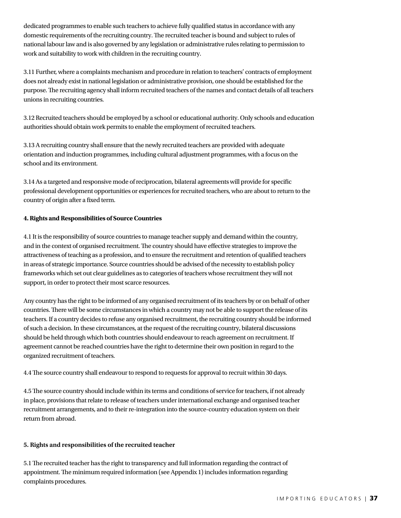dedicated programmes to enable such teachers to achieve fully qualified status in accordance with any domestic requirements of the recruiting country. The recruited teacher is bound and subject to rules of national labour law and is also governed by any legislation or administrative rules relating to permission to work and suitability to work with children in the recruiting country.

3.11 Further, where a complaints mechanism and procedure in relation to teachers' contracts of employment does not already exist in national legislation or administrative provision, one should be established for the purpose. The recruiting agency shall inform recruited teachers of the names and contact details of all teachers unions in recruiting countries.

3.12 Recruited teachers should be employed by a school or educational authority. Only schools and education authorities should obtain work permits to enable the employment of recruited teachers.

3.13 A recruiting country shall ensure that the newly recruited teachers are provided with adequate orientation and induction programmes, including cultural adjustment programmes, with a focus on the school and its environment.

3.14 As a targeted and responsive mode of reciprocation, bilateral agreements will provide for specific professional development opportunities or experiences for recruited teachers, who are about to return to the country of origin after a fixed term.

#### **4. Rights and Responsibilities of Source Countries**

4.1 It is the responsibility of source countries to manage teacher supply and demand within the country, and in the context of organised recruitment. The country should have effective strategies to improve the attractiveness of teaching as a profession, and to ensure the recruitment and retention of qualified teachers in areas of strategic importance. Source countries should be advised of the necessity to establish policy frameworks which set out clear guidelines as to categories of teachers whose recruitment they will not support, in order to protect their most scarce resources.

Any country has the right to be informed of any organised recruitment of its teachers by or on behalf of other countries. There will be some circumstances in which a country may not be able to support the release of its teachers. If a country decides to refuse any organised recruitment, the recruiting country should be informed of such a decision. In these circumstances, at the request of the recruiting country, bilateral discussions should be held through which both countries should endeavour to reach agreement on recruitment. If agreement cannot be reached countries have the right to determine their own position in regard to the organized recruitment of teachers.

4.4 The source country shall endeavour to respond to requests for approval to recruit within 30 days.

4.5 The source country should include within its terms and conditions of service for teachers, if not already in place, provisions that relate to release of teachers under international exchange and organised teacher recruitment arrangements, and to their re-integration into the source-country education system on their return from abroad.

#### **5. Rights and responsibilities of the recruited teacher**

5.1 The recruited teacher has the right to transparency and full information regarding the contract of appointment. The minimum required information (see Appendix 1) includes information regarding complaints procedures.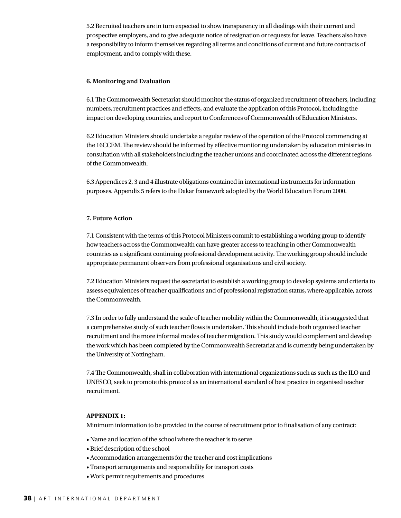5.2 Recruited teachers are in turn expected to show transparency in all dealings with their current and prospective employers, and to give adequate notice of resignation or requests for leave. Teachers also have a responsibility to inform themselves regarding all terms and conditions of current and future contracts of employment, and to comply with these.

#### **6. Monitoring and Evaluation**

6.1 The Commonwealth Secretariat should monitor the status of organized recruitment of teachers, including numbers, recruitment practices and effects, and evaluate the application of this Protocol, including the impact on developing countries, and report to Conferences of Commonwealth of Education Ministers.

6.2 Education Ministers should undertake a regular review of the operation of the Protocol commencing at the 16CCEM. The review should be informed by effective monitoring undertaken by education ministries in consultation with all stakeholders including the teacher unions and coordinated across the different regions of the Commonwealth.

6.3 Appendices 2, 3 and 4 illustrate obligations contained in international instruments for information purposes. Appendix 5 refers to the Dakar framework adopted by the World Education Forum 2000.

#### **7. Future Action**

7.1 Consistent with the terms of this Protocol Ministers commit to establishing a working group to identify how teachers across the Commonwealth can have greater access to teaching in other Commonwealth countries as a significant continuing professional development activity. The working group should include appropriate permanent observers from professional organisations and civil society.

7.2 Education Ministers request the secretariat to establish a working group to develop systems and criteria to assess equivalences of teacher qualifications and of professional registration status, where applicable, across the Commonwealth.

7.3 In order to fully understand the scale of teacher mobility within the Commonwealth, it is suggested that a comprehensive study of such teacher flows is undertaken. This should include both organised teacher recruitment and the more informal modes of teacher migration. This study would complement and develop the work which has been completed by the Commonwealth Secretariat and is currently being undertaken by the University of Nottingham.

7.4 The Commonwealth, shall in collaboration with international organizations such as such as the ILO and UNESCO, seek to promote this protocol as an international standard of best practice in organised teacher recruitment.

#### **APPENDIX 1:**

Minimum information to be provided in the course of recruitment prior to finalisation of any contract:

- Name and location of the school where the teacher is to serve
- Brief description of the school
- Accommodation arrangements for the teacher and cost implications
- Transport arrangements and responsibility for transport costs
- Work permit requirements and procedures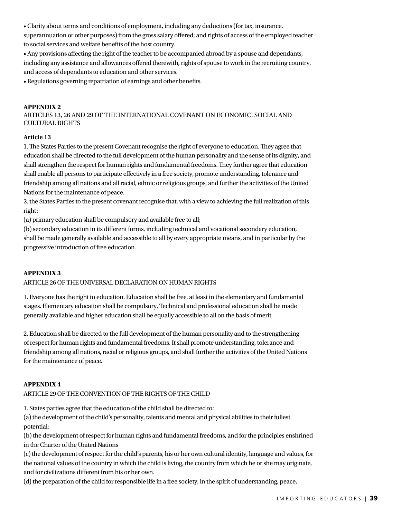• Clarity about terms and conditions of employment, including any deductions (for tax, insurance, superannuation or other purposes) from the gross salary offered; and rights of access of the employed teacher to social services and welfare benefits of the host country.

• Any provisions affecting the right of the teacher to be accompanied abroad by a spouse and dependants, including any assistance and allowances offered therewith, rights of spouse to work in the recruiting country, and access of dependants to education and other services.

• Regulations governing repatriation of earnings and other benefits.

#### **APPENDIX 2**

ARTICLES 13, 26 AND 29 OF THE INTERNATIONAL COVENANT ON ECONOMIC, SOCIAL AND CULTURAL RIGHTS

#### **Article 13**

1. The States Parties to the present Covenant recognise the right of everyone to education. They agree that education shall be directed to the full development of the human personality and the sense of its dignity, and shall strengthen the respect for human rights and fundamental freedoms. They further agree that education shall enable all persons to participate effectively in a free society, promote understanding, tolerance and friendship among all nations and all racial, ethnic or religious groups, and further the activities of the United Nations for the maintenance of peace.

2. the States Parties to the present covenant recognise that, with a view to achieving the full realization of this right:

(a) primary education shall be compulsory and available free to all;

(b) secondary education in its different forms, including technical and vocational secondary education, shall be made generally available and accessible to all by every appropriate means, and in particular by the progressive introduction of free education.

#### **APPENDIX 3**

#### ARTICLE 26 OF THE UNIVERSAL DECLARATION ON HUMAN RIGHTS

1. Everyone has the right to education. Education shall be free, at least in the elementary and fundamental stages. Elementary education shall be compulsory. Technical and professional education shall be made generally available and higher education shall be equally accessible to all on the basis of merit.

2. Education shall be directed to the full development of the human personality and to the strengthening of respect for human rights and fundamental freedoms. It shall promote understanding, tolerance and friendship among all nations, racial or religious groups, and shall further the activities of the United Nations for the maintenance of peace.

#### **APPENDIX 4**

#### ARTICLE 29 OF THE CONVENTION OF THE RIGHTS OF THE CHILD

1. States parties agree that the education of the child shall be directed to:

(a) the development of the child's personality, talents and mental and physical abilities to their fullest potential;

(b) the development of respect for human rights and fundamental freedoms, and for the principles enshrined in the Charter of the United Nations

(c) the development of respect for the child's parents, his or her own cultural identity, language and values, for the national values of the country in which the child is living, the country from which he or she may originate, and for civilizations different from his or her own.

(d) the preparation of the child for responsible life in a free society, in the spirit of understanding, peace,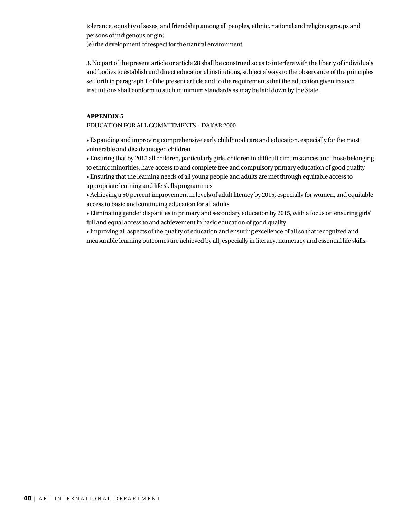tolerance, equality of sexes, and friendship among all peoples, ethnic, national and religious groups and persons of indigenous origin;

(e) the development of respect for the natural environment.

3. No part of the present article or article 28 shall be construed so as to interfere with the liberty of individuals and bodies to establish and direct educational institutions, subject always to the observance of the principles set forth in paragraph 1 of the present article and to the requirements that the education given in such institutions shall conform to such minimum standards as may be laid down by the State.

#### **APPENDIX 5**

#### EDUCATION FOR ALL COMMITMENTS – DAKAR 2000

• Expanding and improving comprehensive early childhood care and education, especially for the most vulnerable and disadvantaged children

• Ensuring that by 2015 all children, particularly girls, children in difficult circumstances and those belonging to ethnic minorities, have access to and complete free and compulsory primary education of good quality

• Ensuring that the learning needs of all young people and adults are met through equitable access to appropriate learning and life skills programmes

• Achieving a 50 percent improvement in levels of adult literacy by 2015, especially for women, and equitable access to basic and continuing education for all adults

• Eliminating gender disparities in primary and secondary education by 2015, with a focus on ensuring girls' full and equal access to and achievement in basic education of good quality

• Improving all aspects of the quality of education and ensuring excellence of all so that recognized and measurable learning outcomes are achieved by all, especially in literacy, numeracy and essential life skills.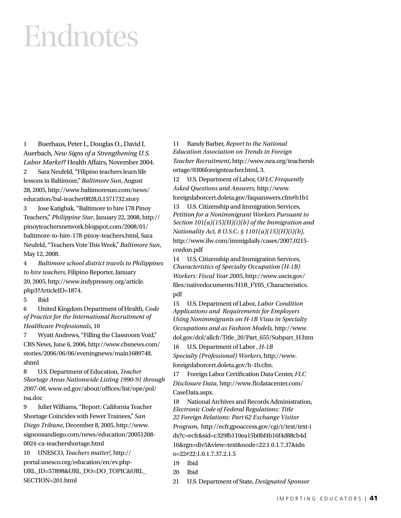### **Endnotes**

1 Buerhaus, Peter I., Douglas O., David I. Auerbach, *New Signs of a Strengthening U.S. Labor Market*? Health Affairs, November 2004. 2 Sara Neufeld, "Filipino teachers learn life lessons in Baltimore," *Baltimore Sun*, August 28, 2005, http://www.baltimoresun.com/news/ education/bal-teacher0828,0,1571732.story

3 Jose Katigbak, "Baltimore to hire 178 Pinoy Teachers," *Philippine Star*, January 22, 2008, http:// pinoyteachersnetwork.blogspot.com/2008/01/ baltimore-to-hire-178-pinoy-teachers.html, Sara Neufeld, "Teachers Vote This Week," *Baltimore Sun*, May 12, 2008.

4 *Baltimore school district travels to Philippines to hire teachers*, Filipino Reporter, January 20, 2005, http://www.indypressny.org/article. php3?ArticleID=1874.

5 Ibid

6 United Kingdom Department of Health, *Code of Practice for the International Recruitment of Healthcare Professionals*, 10

7 Wyatt Andrews, "Filling the Classroom Void," CBS News, June 6, 2006, http://www.cbsnews.com/ stories/2006/06/06/eveningnews/main1689748. shtml

8 U.S. Department of Education, *Teacher Shortage Areas Nationwide Listing 1990-91 through 2007-08*, www.ed.gov/about/offices/list/ope/pol/ tsa.doc

9 Juliet Williams, "Report: California Teacher Shortage Coincides with Fewer Trainees," *San Diego Tribune*, December 8, 2005, http://www. signonsandiego.com/news/education/20051208- 0024-ca-teachershortage.html

10 UNESCO, *Teachers matter!,* http:// portal.unesco.org/education/en/ev.php-URL\_ID=57898&URL\_DO=DO\_TOPIC&URL\_ SECTION=201.html

11 Randy Barber, *Report to the National Education Association on Trends in Foreign Teacher Recruitment*, http://www.nea.org/teachersh ortage/0306foreignteacher.html, 3.

12 U.S. Department of Labor, *OFLC Frequently Asked Questions and Answers,* http://www. foreignlaborcert.doleta.gov/faqsanswers.cfm#h1b1

13 U.S. Citizenship and Immigration Services, *Petition for a Nonimmigrant Workers Pursuant to Section 101(a)(15)(H)(i)(b) of the Immigration and Nationality Act, 8 U.S.*C. *§ 1101(a)(15)(H)(i)(b),*  http://www.ilw.com/immigdaily/cases/2007,0215 cordon.pdf

14 U.S. Citizenship and Immigration Services, *Characteristics of Specialty Occupation (H-1B) Workers: Fiscal Year 2005*, http://www.uscis.gov/ files/nativedocuments/H1B\_FY05\_Characteristics. pdf

15 U.S. Department of Labor, *Labor Condition Applications and Requirements for Employers Using Nonimmigrants on H-1B Visas in Specialty Occupations and as Fashion Models,* http://www. dol.gov/dol/allcfr/Title\_20/Part\_655/Subpart\_H.htm

16 U.S. Department of Labor , *H-1B Specialty (Professional) Workers*, http://www. foreignlaborcert.doleta.gov/h-1b.cfm.

17 Foreign Labor Certification Data Center, *FLC Disclosure Data,* http://www.flcdatacenter.com/ CaseData.aspx.

18 National Archives and Records Administration, *Electronic Code of Federal Regulations: Title 22 Foreign Relations: Part 62 Exchange Visitor Program*, http://ecfr.gpoaccess.gov/cgi/t/text/text-i dx?c=ecfr&sid=c329fb110ea15b0bf4b16f4d88cb4d 16&rgn=div5&view=text&node=22:1.0.1.7.37&idn o=22#22:1.0.1.7.37.2.1.5

19 Ibid

20 Ibid

21 U.S. Department of State, *Designated Sponsor*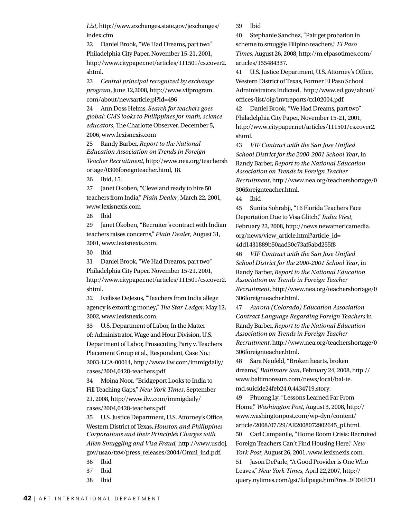*List*, http://www.exchanges.state.gov/jexchanges/ index.cfm

22 Daniel Brook, "We Had Dreams, part two" Philadelphia City Paper, November 15-21, 2001, http://www.citypaper.net/articles/111501/cs.cover2. shtml.

23 *Central principal recognized by exchange program*, June 12,2008, http://www.vifprogram. com/about/newsarticle.pl?id=496

24 Ann Doss Helms, *Search for teachers goes global: CMS looks to Philippines for math, science educators*, The Charlotte Observer, December 5, 2006, www.lexisnexis.com

25 Randy Barber, *Report to the National Education Association on Trends in Foreign Teacher Recruitment*, http://www.nea.org/teachersh ortage/0306foreignteacher.html, 18.

26 Ibid, 15.

27 Janet Okoben, "Cleveland ready to hire 50 teachers from India," *Plain Dealer*, March 22, 2001, www.lexisnexis.com

28 Ibid

29 Janet Okoben, "Recruiter's contract with Indian teachers raises concerns," *Plain Dealer*, August 31, 2001, www.lexisnexis.com.

30 Ibid

31 Daniel Brook, "We Had Dreams, part two" Philadelphia City Paper, November 15-21, 2001, http://www.citypaper.net/articles/111501/cs.cover2. shtml.

32 Ivelisse DeJesus, "Teachers from India allege agency is extorting money," *The Star-Ledger,* May 12, 2002, www.lexisnexis.com.

33 U.S. Department of Labor, In the Matter of: Administrator, Wage and Hour Division, U.S. Department of Labor, Prosecuting Party v. Teachers Placement Group et al., Respondent, Case No.: 2003-LCA-00014, http://www.ilw.com/immigdaily/ cases/2004,0428-teachers.pdf

34 Moina Noor, "Bridgeport Looks to India to Fill Teaching Gaps," *New York Times*, September 21, 2008, http://www.ilw.com/immigdaily/ cases/2004,0428-teachers.pdf

35 U.S. Justice Department, U.S. Attorney's Office, Western District of Texas, *Houston and Philippines Corporations and their Principles Charges with Alien Smuggling and Visa Fraud,* http://www.usdoj. gov/usao/txw/press\_releases/2004/Omni\_ind.pdf.

- 36 Ibid
- 37 Ibid
- 38 Ibid

39 Ibid

40 Stephanie Sanchez, "Pair get probation in scheme to smuggle Filipino teachers," *El Paso Times*, August 26, 2008, http://m.elpasotimes.com/ articles/155484337.

41 U.S. Justice Department, U.S. Attorney's Office, Western District of Texas, Former El Paso School Administrators Indicted, http://www.ed.gov/about/ offices/list/oig/invtreports/tx102004.pdf.

42 Daniel Brook, "We Had Dreams, part two" Philadelphia City Paper, November 15-21, 2001, http://www.citypaper.net/articles/111501/cs.cover2. shtml.

43 *VIF Contract with the San Jose Unified School District for the 2000-2001 School Year*, in Randy Barber, *Report to the National Education Association on Trends in Foreign Teacher Recruitment*, http://www.nea.org/teachershortage/0 306foreignteacher.html.

44 Ibid

45 Sunita Sohrabji, "16 Florida Teachers Face Deportation Due to Visa Glitch," *India West*, February 22, 2008, http://news.newamericamedia. org/news/view\_article.html?article\_id= 4dd1431889b50aad30c73af5abd255f8

46 *VIF Contract with the San Jose Unified School District for the 2000-2001 School Year*, in Randy Barber, *Report to the National Education Association on Trends in Foreign Teacher Recruitment*, http://www.nea.org/teachershortage/0 306foreignteacher.html.

47 *Aurora (Colorado) Education Association Contract Language Regarding Foreign Teachers* in Randy Barber, *Report to the National Education Association on Trends in Foreign Teacher Recruitment*, http://www.nea.org/teachershortage/0 306foreignteacher.html.

48 Sara Neufeld, "Broken hearts, broken dreams," *Baltimore Sun*, February 24, 2008, http:// www.baltimoresun.com/news/local/bal-te. md.suicide24feb24,0,4434719.story.

49 Phuong Ly, "Lessons Learned Far From Home," *Washington Post*, August 3, 2008, http:// www.washingtonpost.com/wp-dyn/content/ article/2008/07/29/AR2008072902645\_pf.html.

50 Carl Campanile, "Home Room Crisis: Recruited Foreign Teachers Can't Find Housing Here," *New York Post*, August 26, 2001, www.lexisnexis.com. 51 Jason DeParle, "A Good Provider is One Who Leaves," *New York Times,* April 22,2007, http:// query.nytimes.com/gst/fullpage.html?res=9D04E7D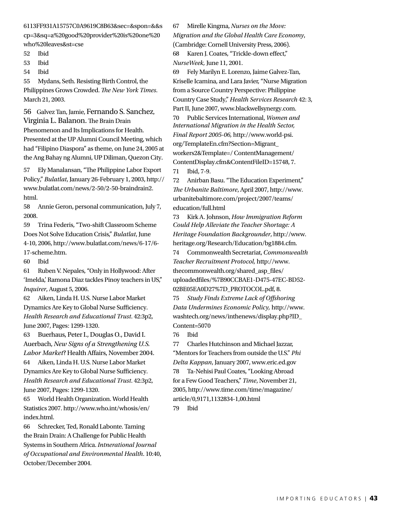6113FF931A15757C0A9619C8B63&sec=&spon=&&s cp=3&sq=a%20good%20provider%20is%20one%20 who%20leaves&st=cse

- 52 Ibid
- 53 Ibid
- 54 Ibid

55 Mydans, Seth. Resisting Birth Control, the Philippines Grows Crowded. *The New York Times*. March 21, 2003.

56 Galvez Tan, Jamie, Fernando S. Sanchez, Virginia L. Balanon. The Brain Drain Phenomenon and Its Implications for Health. Presented at the UP Alumni Council Meeting, which had "Filipino Diaspora" as theme, on June 24, 2005 at the Ang Bahay ng Alumni, UP Diliman, Quezon City.

57 Ely Manalansan, "The Philippine Labor Export Policy," *Bulatlat*, January 26-February 1, 2003, http:// www.bulatlat.com/news/2-50/2-50-braindrain2. html.

58 Annie Geron, personal communication, July 7, 2008.

59 Trina Federis, "Two-shift Classroom Scheme Does Not Solve Education Crisis," *Bulatlat*, June 4-10, 2006, http://www.bulatlat.com/news/6-17/6- 17-scheme.htm.

60 Ibid

61 Ruben V. Nepales, "Only in Hollywood: After 'Imelda,' Ramona Diaz tackles Pinoy teachers in US," *Inquirer*, August 5, 2006.

62 Aiken, Linda H. U.S. Nurse Labor Market Dynamics Are Key to Global Nurse Sufficiency. *Health Research and Educational Trust*. 42:3p2, June 2007, Pages: 1299-1320.

63 Buerhaus, Peter I., Douglas O., David I. Auerbach, *New Signs of a Strengthening U.S. Labor Market*? Health Affairs, November 2004.

64 Aiken, Linda H. U.S. Nurse Labor Market Dynamics Are Key to Global Nurse Sufficiency. *Health Research and Educational Trust*. 42:3p2, June 2007, Pages: 1299-1320.

65 World Health Organization. World Health Statistics 2007. http://www.who.int/whosis/en/ index.html.

66 Schrecker, Ted, Ronald Labonte. Taming the Brain Drain: A Challenge for Public Health Systems in Southern Africa. *Intnerational Journal of Occupational and Environmental Health*. 10:40, October/December 2004.

67 Mirelle Kingma, *Nurses on the Move: Migration and the Global Health Care Economy*, (Cambridge: Cornell University Press, 2006). 68 Karen J. Coates, "Trickle-down effect," *NurseWeek,* June 11, 2001.

69 Fely Marilyn E. Lorenzo, Jaime Galvez-Tan, Kriselle Icamina, and Lara Javier, "Nurse Migration from a Source Country Perspective: Philippine Country Case Study," *Health Services Research* 42: 3, Part II, June 2007, www.blackwellsynergy.com. 70 Public Services International, *Women and International Migration in the Health Sector, Final Report 2005-06,* http://www.world-psi. org/TemplateEn.cfm?Section=Migrant\_ workers2&Template=/ ContentManagement/ ContentDisplay.cfm&ContentFileID=15748, 7. 71 Ibid, 7-9.

72 Anirban Basu. "The Education Experiment," *The Urbanite Baltimore*, April 2007, http://www. urbanitebaltimore.com/project/2007/teams/ education/full.html

73 Kirk A. Johnson, *How Immigration Reform Could Help Alleviate the Teacher Shortage: A Heritage Foundation Backgrounder*, http://www. heritage.org/Research/Education/bg1884.cfm.

74 Commonwealth Secretariat, *Commonwealth Teacher Recruitment Protocol,* http://www. thecommonwealth.org/shared\_asp\_files/ uploadedfiles/%7B90CCBAE1-D475-47EC-BD52- 02BE05EA0D27%7D\_PROTOCOL.pdf, 8.

75 *Study Finds Extreme Lack of Offshoring Data Undermines Economic Policy,* http://www. washtech.org/news/inthenews/display.php?ID\_ Content=5070

76 Ibid

77 Charles Hutchinson and Michael Jazzar, "Mentors for Teachers from outside the U.S." *Phi Delta Kappan*, January 2007, www.eric.ed.gov 78 Ta-Nehisi Paul Coates, "Looking Abroad for a Few Good Teachers," *Time*, November 21, 2005, http://www.time.com/time/magazine/ article/0,9171,1132834-1,00.html 79 Ibid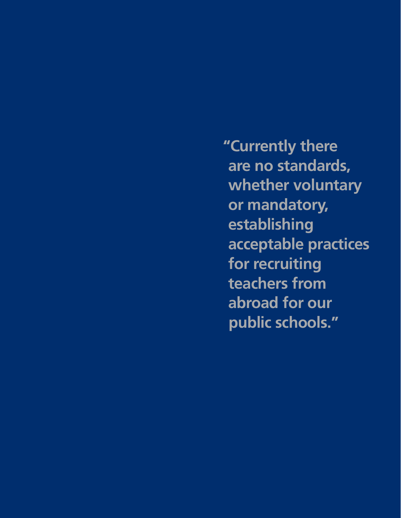**"Currently there are no standards, whether voluntary or mandatory, establishing acceptable practices for recruiting teachers from abroad for our public schools."**